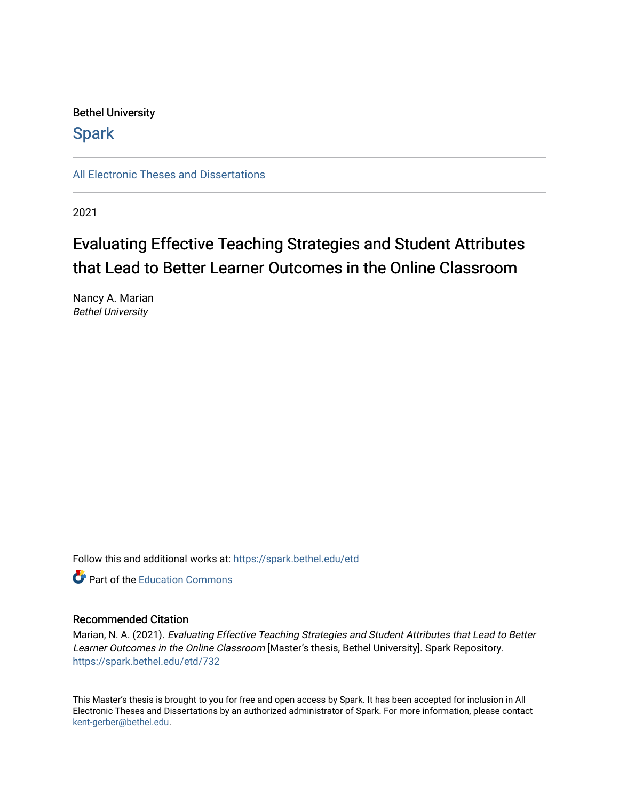Bethel University

**Spark** 

[All Electronic Theses and Dissertations](https://spark.bethel.edu/etd) 

2021

# Evaluating Effective Teaching Strategies and Student Attributes that Lead to Better Learner Outcomes in the Online Classroom

Nancy A. Marian Bethel University

Follow this and additional works at: [https://spark.bethel.edu/etd](https://spark.bethel.edu/etd?utm_source=spark.bethel.edu%2Fetd%2F732&utm_medium=PDF&utm_campaign=PDFCoverPages)

**C** Part of the [Education Commons](http://network.bepress.com/hgg/discipline/784?utm_source=spark.bethel.edu%2Fetd%2F732&utm_medium=PDF&utm_campaign=PDFCoverPages)

### Recommended Citation

Marian, N. A. (2021). Evaluating Effective Teaching Strategies and Student Attributes that Lead to Better Learner Outcomes in the Online Classroom [Master's thesis, Bethel University]. Spark Repository. [https://spark.bethel.edu/etd/732](https://spark.bethel.edu/etd/732?utm_source=spark.bethel.edu%2Fetd%2F732&utm_medium=PDF&utm_campaign=PDFCoverPages)

This Master's thesis is brought to you for free and open access by Spark. It has been accepted for inclusion in All Electronic Theses and Dissertations by an authorized administrator of Spark. For more information, please contact [kent-gerber@bethel.edu](mailto:kent-gerber@bethel.edu).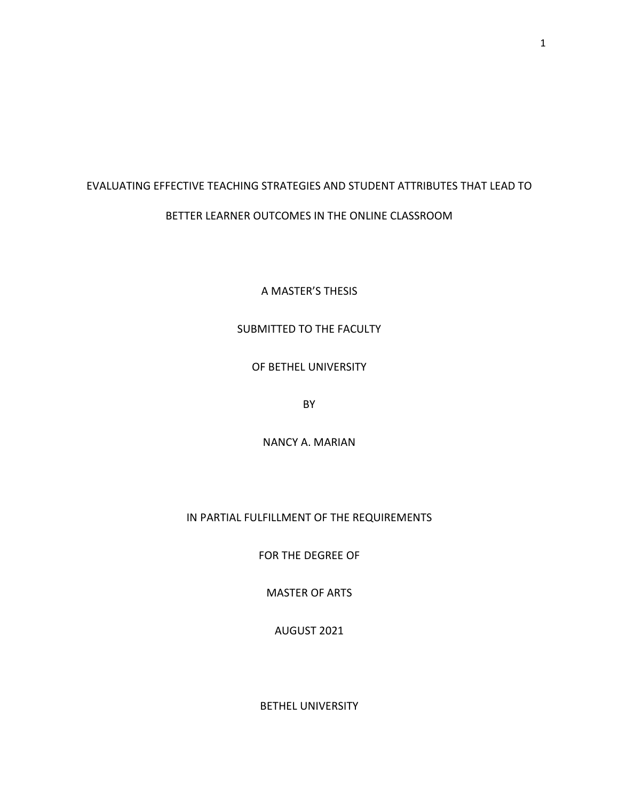## EVALUATING EFFECTIVE TEACHING STRATEGIES AND STUDENT ATTRIBUTES THAT LEAD TO BETTER LEARNER OUTCOMES IN THE ONLINE CLASSROOM

A MASTER'S THESIS

## SUBMITTED TO THE FACULTY

### OF BETHEL UNIVERSITY

BY

NANCY A. MARIAN

## IN PARTIAL FULFILLMENT OF THE REQUIREMENTS

FOR THE DEGREE OF

MASTER OF ARTS

AUGUST 2021

BETHEL UNIVERSITY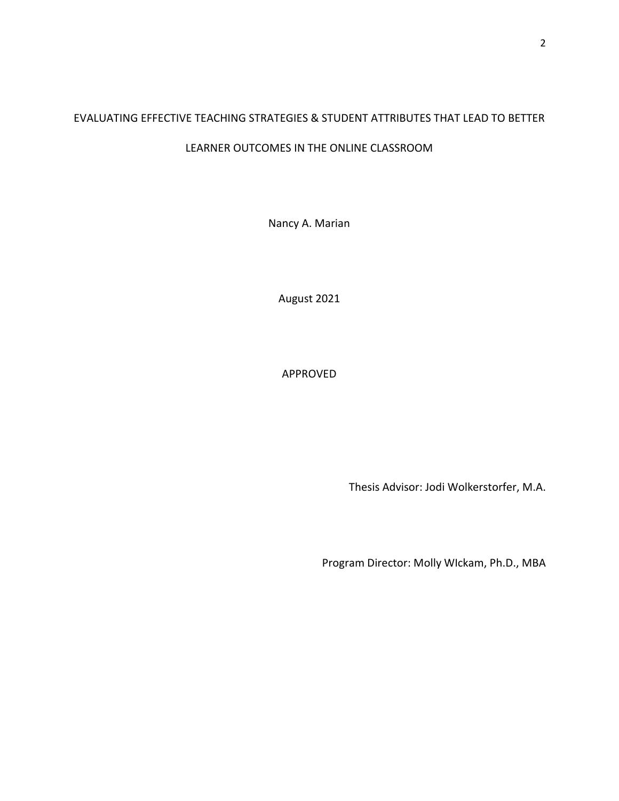## EVALUATING EFFECTIVE TEACHING STRATEGIES & STUDENT ATTRIBUTES THAT LEAD TO BETTER

## LEARNER OUTCOMES IN THE ONLINE CLASSROOM

Nancy A. Marian

August 2021

APPROVED

Thesis Advisor: Jodi Wolkerstorfer, M.A.

Program Director: Molly WIckam, Ph.D., MBA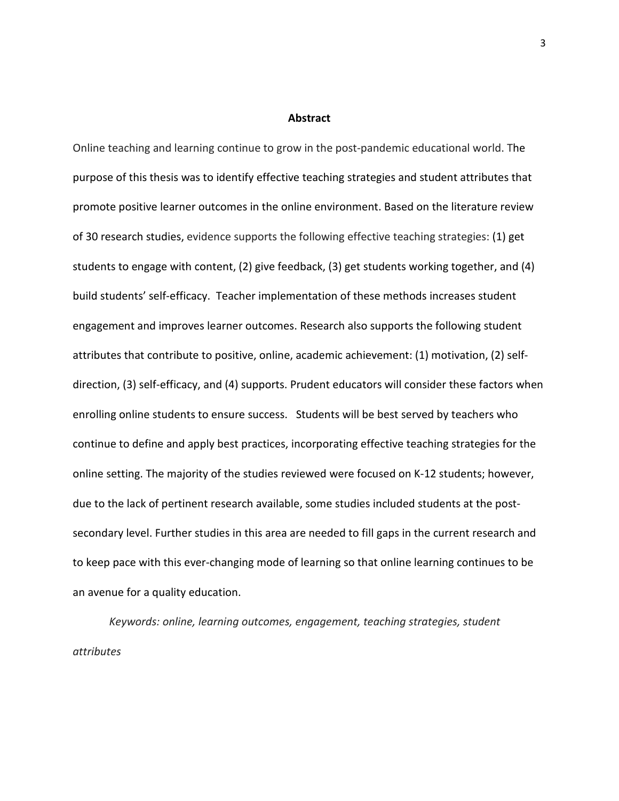#### **Abstract**

<span id="page-3-0"></span>Online teaching and learning continue to grow in the post-pandemic educational world. The purpose of this thesis was to identify effective teaching strategies and student attributes that promote positive learner outcomes in the online environment. Based on the literature review of 30 research studies, evidence supports the following effective teaching strategies: (1) get students to engage with content, (2) give feedback, (3) get students working together, and (4) build students' self-efficacy. Teacher implementation of these methods increases student engagement and improves learner outcomes. Research also supports the following student attributes that contribute to positive, online, academic achievement: (1) motivation, (2) selfdirection, (3) self-efficacy, and (4) supports. Prudent educators will consider these factors when enrolling online students to ensure success. Students will be best served by teachers who continue to define and apply best practices, incorporating effective teaching strategies for the online setting. The majority of the studies reviewed were focused on K-12 students; however, due to the lack of pertinent research available, some studies included students at the postsecondary level. Further studies in this area are needed to fill gaps in the current research and to keep pace with this ever-changing mode of learning so that online learning continues to be an avenue for a quality education.

*Keywords: online, learning outcomes, engagement, teaching strategies, student attributes*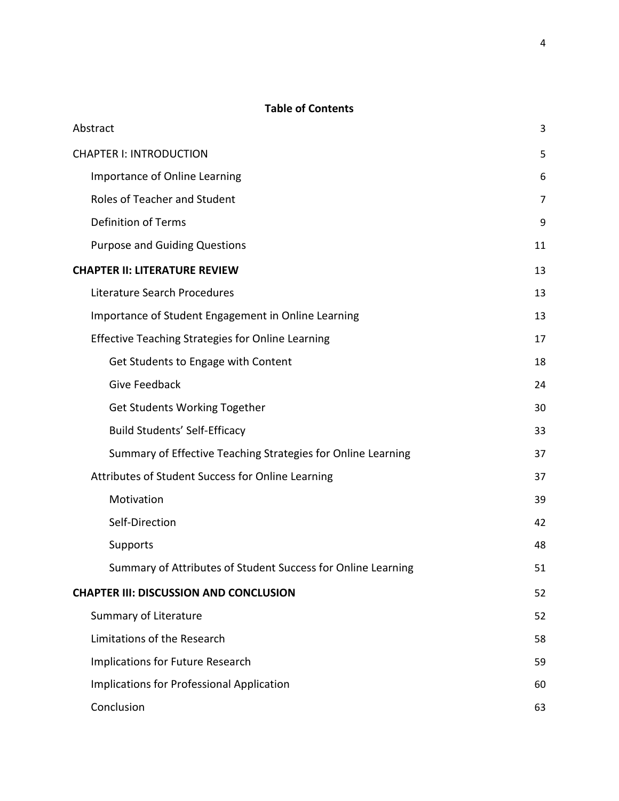## **Table of Contents**

| Abstract                                                     | 3              |
|--------------------------------------------------------------|----------------|
| <b>CHAPTER I: INTRODUCTION</b>                               | 5              |
| Importance of Online Learning                                | 6              |
| Roles of Teacher and Student                                 | $\overline{7}$ |
| <b>Definition of Terms</b>                                   | 9              |
| <b>Purpose and Guiding Questions</b>                         | 11             |
| <b>CHAPTER II: LITERATURE REVIEW</b>                         | 13             |
| Literature Search Procedures                                 | 13             |
| Importance of Student Engagement in Online Learning          | 13             |
| <b>Effective Teaching Strategies for Online Learning</b>     | 17             |
| Get Students to Engage with Content                          | 18             |
| <b>Give Feedback</b>                                         | 24             |
| <b>Get Students Working Together</b>                         | 30             |
| <b>Build Students' Self-Efficacy</b>                         | 33             |
| Summary of Effective Teaching Strategies for Online Learning | 37             |
| Attributes of Student Success for Online Learning            | 37             |
| Motivation                                                   | 39             |
| Self-Direction                                               | 42             |
| Supports                                                     | 48             |
| Summary of Attributes of Student Success for Online Learning | 51             |
| <b>CHAPTER III: DISCUSSION AND CONCLUSION</b>                | 52             |
| Summary of Literature                                        | 52             |
| Limitations of the Research                                  | 58             |
| Implications for Future Research                             | 59             |
| Implications for Professional Application                    | 60             |
| Conclusion                                                   | 63             |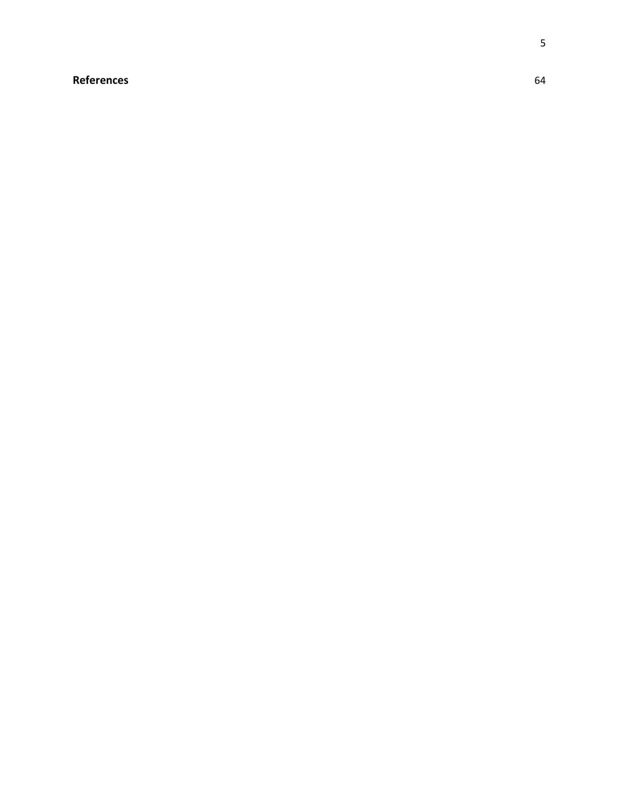## <span id="page-5-0"></span>**[References](#page-64-0)** 64

5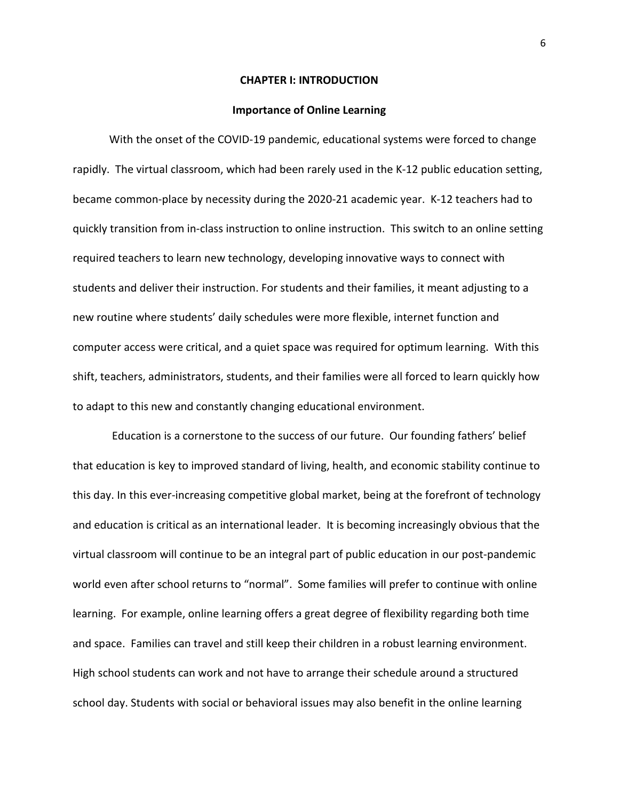#### **CHAPTER I: INTRODUCTION**

#### **Importance of Online Learning**

<span id="page-6-0"></span>With the onset of the COVID-19 pandemic, educational systems were forced to change rapidly. The virtual classroom, which had been rarely used in the K-12 public education setting, became common-place by necessity during the 2020-21 academic year. K-12 teachers had to quickly transition from in-class instruction to online instruction. This switch to an online setting required teachers to learn new technology, developing innovative ways to connect with students and deliver their instruction. For students and their families, it meant adjusting to a new routine where students' daily schedules were more flexible, internet function and computer access were critical, and a quiet space was required for optimum learning. With this shift, teachers, administrators, students, and their families were all forced to learn quickly how to adapt to this new and constantly changing educational environment.

Education is a cornerstone to the success of our future. Our founding fathers' belief that education is key to improved standard of living, health, and economic stability continue to this day. In this ever-increasing competitive global market, being at the forefront of technology and education is critical as an international leader. It is becoming increasingly obvious that the virtual classroom will continue to be an integral part of public education in our post-pandemic world even after school returns to "normal". Some families will prefer to continue with online learning. For example, online learning offers a great degree of flexibility regarding both time and space. Families can travel and still keep their children in a robust learning environment. High school students can work and not have to arrange their schedule around a structured school day. Students with social or behavioral issues may also benefit in the online learning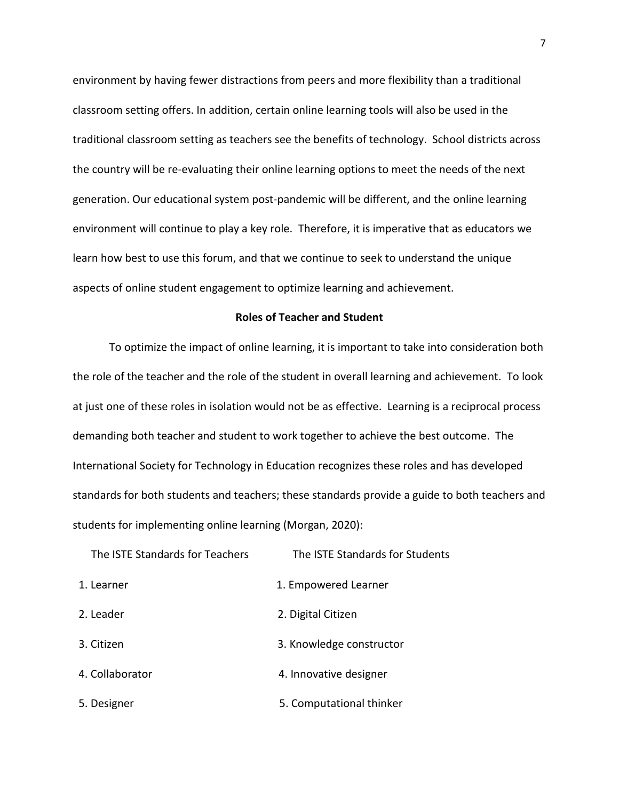environment by having fewer distractions from peers and more flexibility than a traditional classroom setting offers. In addition, certain online learning tools will also be used in the traditional classroom setting as teachers see the benefits of technology. School districts across the country will be re-evaluating their online learning options to meet the needs of the next generation. Our educational system post-pandemic will be different, and the online learning environment will continue to play a key role. Therefore, it is imperative that as educators we learn how best to use this forum, and that we continue to seek to understand the unique aspects of online student engagement to optimize learning and achievement.

#### **Roles of Teacher and Student**

<span id="page-7-0"></span>To optimize the impact of online learning, it is important to take into consideration both the role of the teacher and the role of the student in overall learning and achievement. To look at just one of these roles in isolation would not be as effective. Learning is a reciprocal process demanding both teacher and student to work together to achieve the best outcome. The International Society for Technology in Education recognizes these roles and has developed standards for both students and teachers; these standards provide a guide to both teachers and students for implementing online learning (Morgan, 2020):

| The ISTE Standards for Teachers | The ISTE Standards for Students |
|---------------------------------|---------------------------------|
| 1. Learner                      | 1. Empowered Learner            |
| 2. Leader                       | 2. Digital Citizen              |
| 3. Citizen                      | 3. Knowledge constructor        |
| 4. Collaborator                 | 4. Innovative designer          |
| 5. Designer                     | 5. Computational thinker        |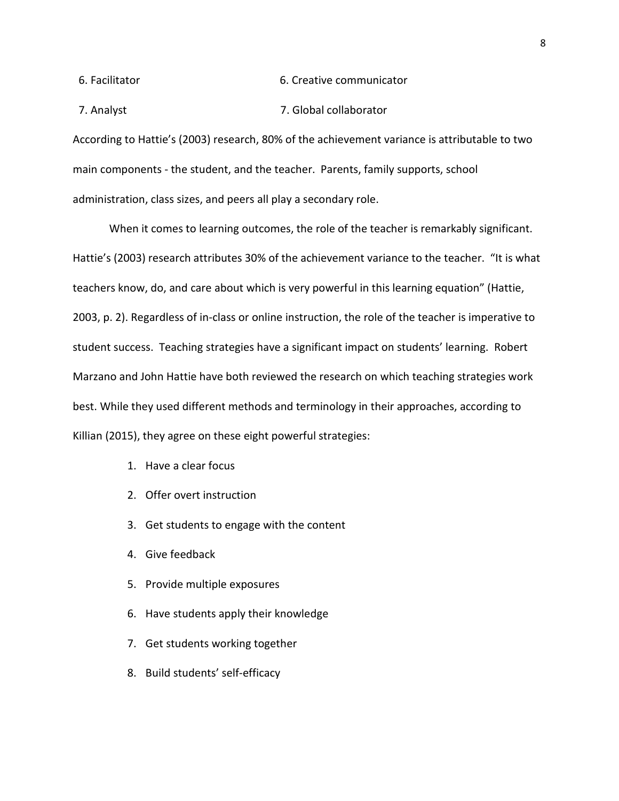6. Facilitator 6. Creative communicator

7. Analyst 7. Global collaborator

According to Hattie's (2003) research, 80% of the achievement variance is attributable to two main components - the student, and the teacher. Parents, family supports, school administration, class sizes, and peers all play a secondary role.

When it comes to learning outcomes, the role of the teacher is remarkably significant. Hattie's (2003) research attributes 30% of the achievement variance to the teacher. "It is what teachers know, do, and care about which is very powerful in this learning equation" (Hattie, 2003, p. 2). Regardless of in-class or online instruction, the role of the teacher is imperative to student success. Teaching strategies have a significant impact on students' learning. Robert Marzano and John Hattie have both reviewed the research on which teaching strategies work best. While they used different methods and terminology in their approaches, according to Killian (2015), they agree on these eight powerful strategies:

- 1. Have a clear focus
- 2. Offer overt instruction
- 3. Get students to engage with the content
- 4. Give feedback
- 5. Provide multiple exposures
- 6. Have students apply their knowledge
- 7. Get students working together
- 8. Build students' self-efficacy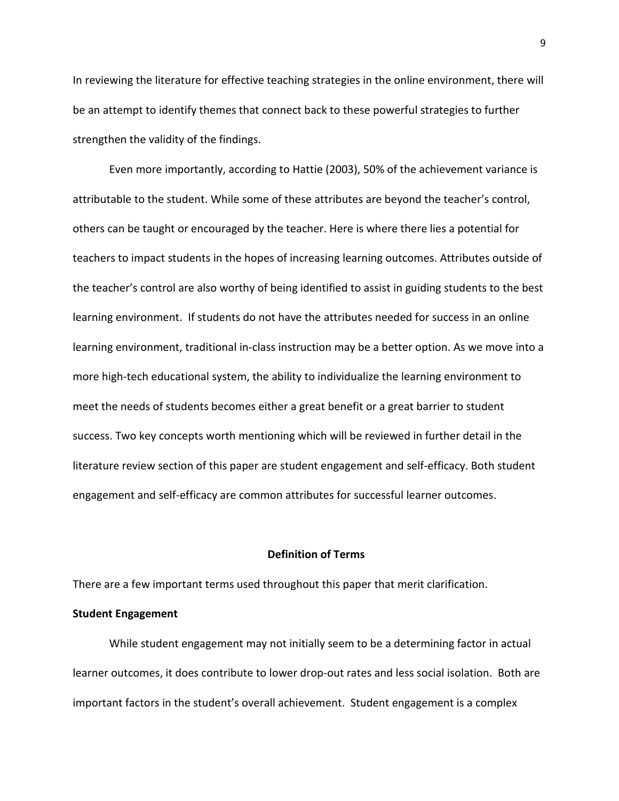In reviewing the literature for effective teaching strategies in the online environment, there will be an attempt to identify themes that connect back to these powerful strategies to further strengthen the validity of the findings.

Even more importantly, according to Hattie (2003), 50% of the achievement variance is attributable to the student. While some of these attributes are beyond the teacher's control, others can be taught or encouraged by the teacher. Here is where there lies a potential for teachers to impact students in the hopes of increasing learning outcomes. Attributes outside of the teacher's control are also worthy of being identified to assist in guiding students to the best learning environment. If students do not have the attributes needed for success in an online learning environment, traditional in-class instruction may be a better option. As we move into a more high-tech educational system, the ability to individualize the learning environment to meet the needs of students becomes either a great benefit or a great barrier to student success. Two key concepts worth mentioning which will be reviewed in further detail in the literature review section of this paper are student engagement and self-efficacy. Both student engagement and self-efficacy are common attributes for successful learner outcomes.

#### **Definition of Terms**

<span id="page-9-0"></span>There are a few important terms used throughout this paper that merit clarification.

#### **Student Engagement**

While student engagement may not initially seem to be a determining factor in actual learner outcomes, it does contribute to lower drop-out rates and less social isolation. Both are important factors in the student's overall achievement. Student engagement is a complex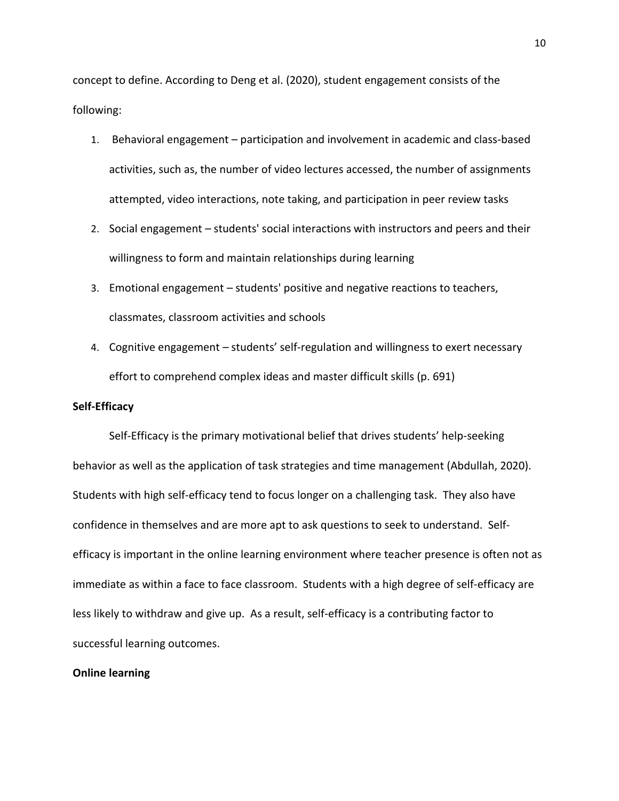concept to define. According to Deng et al. (2020), student engagement consists of the following:

- 1. Behavioral engagement participation and involvement in academic and class-based activities, such as, the number of video lectures accessed, the number of assignments attempted, video interactions, note taking, and participation in peer review tasks
- 2. Social engagement students' social interactions with instructors and peers and their willingness to form and maintain relationships during learning
- 3. Emotional engagement students' positive and negative reactions to teachers, classmates, classroom activities and schools
- 4. Cognitive engagement students' self-regulation and willingness to exert necessary effort to comprehend complex ideas and master difficult skills (p. 691)

#### **Self-Efficacy**

Self-Efficacy is the primary motivational belief that drives students' help-seeking behavior as well as the application of task strategies and time management (Abdullah, 2020). Students with high self-efficacy tend to focus longer on a challenging task. They also have confidence in themselves and are more apt to ask questions to seek to understand. Selfefficacy is important in the online learning environment where teacher presence is often not as immediate as within a face to face classroom. Students with a high degree of self-efficacy are less likely to withdraw and give up. As a result, self-efficacy is a contributing factor to successful learning outcomes.

#### **Online learning**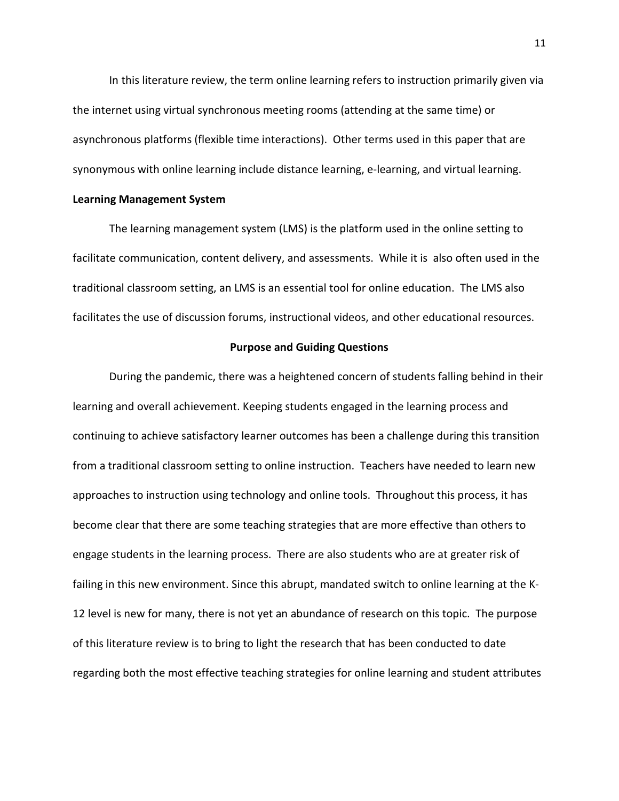In this literature review, the term online learning refers to instruction primarily given via the internet using virtual synchronous meeting rooms (attending at the same time) or asynchronous platforms (flexible time interactions). Other terms used in this paper that are synonymous with online learning include distance learning, e-learning, and virtual learning.

#### **Learning Management System**

The learning management system (LMS) is the platform used in the online setting to facilitate communication, content delivery, and assessments. While it is also often used in the traditional classroom setting, an LMS is an essential tool for online education. The LMS also facilitates the use of discussion forums, instructional videos, and other educational resources.

#### **Purpose and Guiding Questions**

<span id="page-11-0"></span>During the pandemic, there was a heightened concern of students falling behind in their learning and overall achievement. Keeping students engaged in the learning process and continuing to achieve satisfactory learner outcomes has been a challenge during this transition from a traditional classroom setting to online instruction. Teachers have needed to learn new approaches to instruction using technology and online tools. Throughout this process, it has become clear that there are some teaching strategies that are more effective than others to engage students in the learning process. There are also students who are at greater risk of failing in this new environment. Since this abrupt, mandated switch to online learning at the K-12 level is new for many, there is not yet an abundance of research on this topic. The purpose of this literature review is to bring to light the research that has been conducted to date regarding both the most effective teaching strategies for online learning and student attributes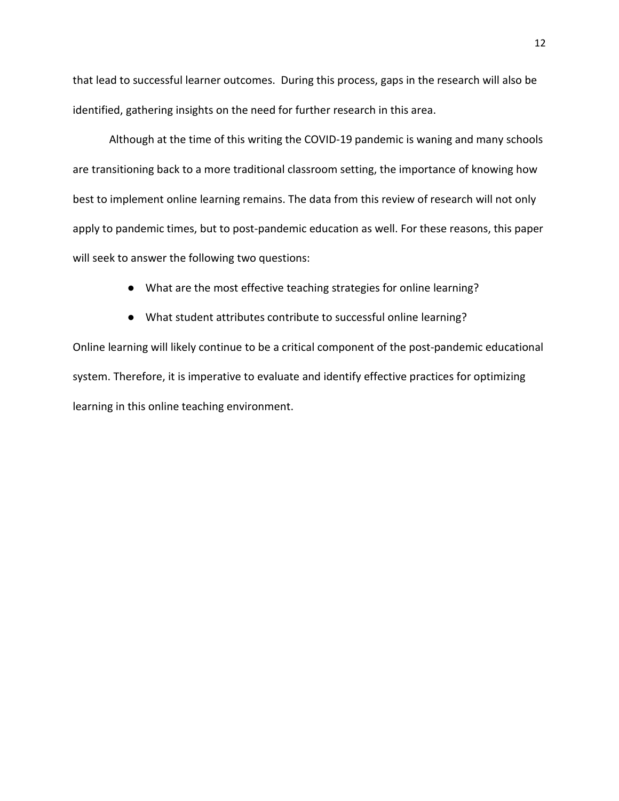that lead to successful learner outcomes. During this process, gaps in the research will also be identified, gathering insights on the need for further research in this area.

Although at the time of this writing the COVID-19 pandemic is waning and many schools are transitioning back to a more traditional classroom setting, the importance of knowing how best to implement online learning remains. The data from this review of research will not only apply to pandemic times, but to post-pandemic education as well. For these reasons, this paper will seek to answer the following two questions:

● What are the most effective teaching strategies for online learning?

● What student attributes contribute to successful online learning?

Online learning will likely continue to be a critical component of the post-pandemic educational system. Therefore, it is imperative to evaluate and identify effective practices for optimizing learning in this online teaching environment.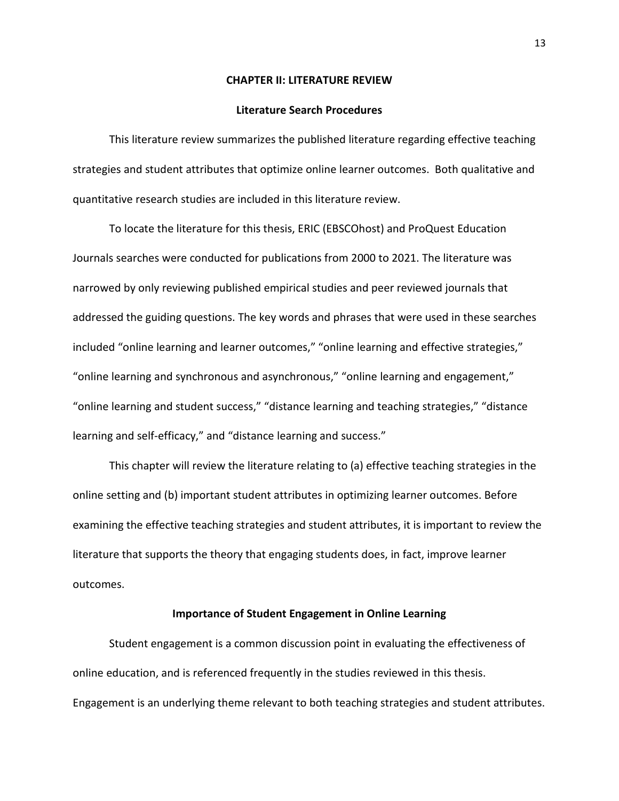#### **CHAPTER II: LITERATURE REVIEW**

#### **Literature Search Procedures**

<span id="page-13-1"></span><span id="page-13-0"></span>This literature review summarizes the published literature regarding effective teaching strategies and student attributes that optimize online learner outcomes. Both qualitative and quantitative research studies are included in this literature review.

To locate the literature for this thesis, ERIC (EBSCOhost) and ProQuest Education Journals searches were conducted for publications from 2000 to 2021. The literature was narrowed by only reviewing published empirical studies and peer reviewed journals that addressed the guiding questions. The key words and phrases that were used in these searches included "online learning and learner outcomes," "online learning and effective strategies," "online learning and synchronous and asynchronous," "online learning and engagement," "online learning and student success," "distance learning and teaching strategies," "distance learning and self-efficacy," and "distance learning and success."

This chapter will review the literature relating to (a) effective teaching strategies in the online setting and (b) important student attributes in optimizing learner outcomes. Before examining the effective teaching strategies and student attributes, it is important to review the literature that supports the theory that engaging students does, in fact, improve learner outcomes.

#### **Importance of Student Engagement in Online Learning**

<span id="page-13-2"></span>Student engagement is a common discussion point in evaluating the effectiveness of online education, and is referenced frequently in the studies reviewed in this thesis. Engagement is an underlying theme relevant to both teaching strategies and student attributes.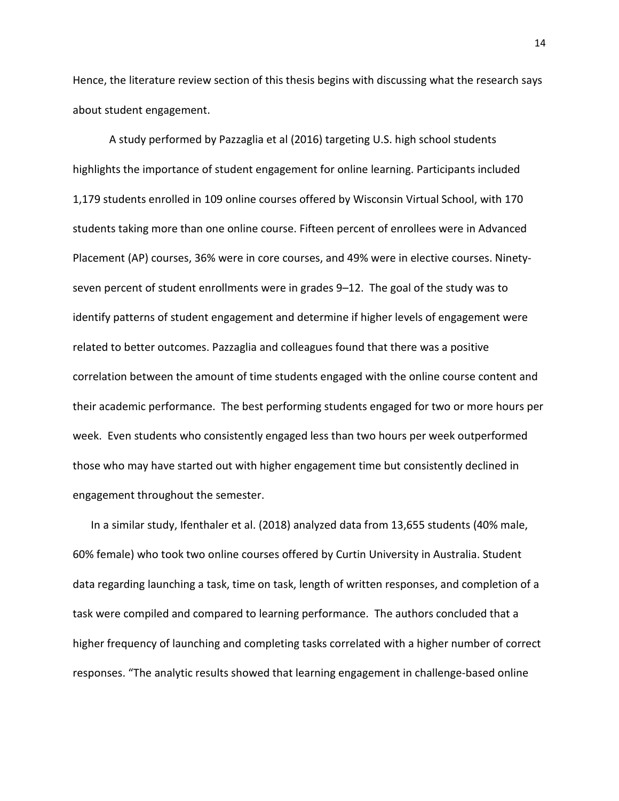Hence, the literature review section of this thesis begins with discussing what the research says about student engagement.

A study performed by Pazzaglia et al (2016) targeting U.S. high school students highlights the importance of student engagement for online learning. Participants included 1,179 students enrolled in 109 online courses offered by Wisconsin Virtual School, with 170 students taking more than one online course. Fifteen percent of enrollees were in Advanced Placement (AP) courses, 36% were in core courses, and 49% were in elective courses. Ninetyseven percent of student enrollments were in grades 9–12. The goal of the study was to identify patterns of student engagement and determine if higher levels of engagement were related to better outcomes. Pazzaglia and colleagues found that there was a positive correlation between the amount of time students engaged with the online course content and their academic performance. The best performing students engaged for two or more hours per week. Even students who consistently engaged less than two hours per week outperformed those who may have started out with higher engagement time but consistently declined in engagement throughout the semester.

In a similar study, Ifenthaler et al. (2018) analyzed data from 13,655 students (40% male, 60% female) who took two online courses offered by Curtin University in Australia. Student data regarding launching a task, time on task, length of written responses, and completion of a task were compiled and compared to learning performance. The authors concluded that a higher frequency of launching and completing tasks correlated with a higher number of correct responses. "The analytic results showed that learning engagement in challenge-based online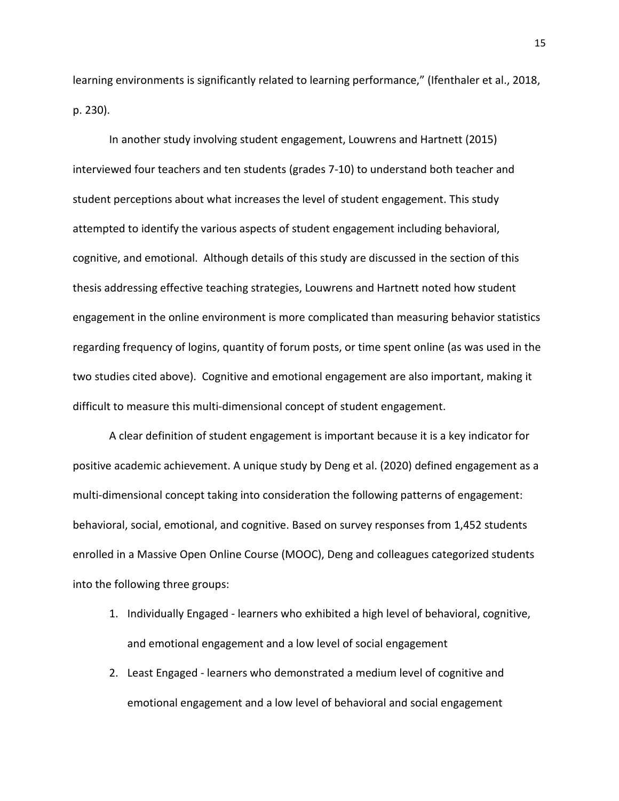learning environments is significantly related to learning performance," (Ifenthaler et al., 2018, p. 230).

In another study involving student engagement, Louwrens and Hartnett (2015) interviewed four teachers and ten students (grades 7-10) to understand both teacher and student perceptions about what increases the level of student engagement. This study attempted to identify the various aspects of student engagement including behavioral, cognitive, and emotional. Although details of this study are discussed in the section of this thesis addressing effective teaching strategies, Louwrens and Hartnett noted how student engagement in the online environment is more complicated than measuring behavior statistics regarding frequency of logins, quantity of forum posts, or time spent online (as was used in the two studies cited above). Cognitive and emotional engagement are also important, making it difficult to measure this multi-dimensional concept of student engagement.

A clear definition of student engagement is important because it is a key indicator for positive academic achievement. A unique study by Deng et al. (2020) defined engagement as a multi-dimensional concept taking into consideration the following patterns of engagement: behavioral, social, emotional, and cognitive. Based on survey responses from 1,452 students enrolled in a Massive Open Online Course (MOOC), Deng and colleagues categorized students into the following three groups:

- 1. Individually Engaged learners who exhibited a high level of behavioral, cognitive, and emotional engagement and a low level of social engagement
- 2. Least Engaged learners who demonstrated a medium level of cognitive and emotional engagement and a low level of behavioral and social engagement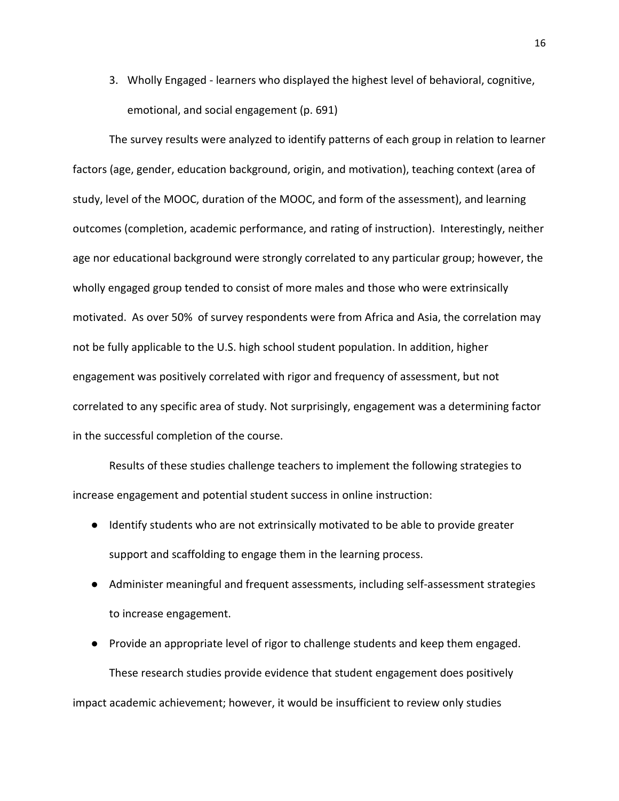3. Wholly Engaged - learners who displayed the highest level of behavioral, cognitive, emotional, and social engagement (p. 691)

The survey results were analyzed to identify patterns of each group in relation to learner factors (age, gender, education background, origin, and motivation), teaching context (area of study, level of the MOOC, duration of the MOOC, and form of the assessment), and learning outcomes (completion, academic performance, and rating of instruction). Interestingly, neither age nor educational background were strongly correlated to any particular group; however, the wholly engaged group tended to consist of more males and those who were extrinsically motivated. As over 50% of survey respondents were from Africa and Asia, the correlation may not be fully applicable to the U.S. high school student population. In addition, higher engagement was positively correlated with rigor and frequency of assessment, but not correlated to any specific area of study. Not surprisingly, engagement was a determining factor in the successful completion of the course.

Results of these studies challenge teachers to implement the following strategies to increase engagement and potential student success in online instruction:

- Identify students who are not extrinsically motivated to be able to provide greater support and scaffolding to engage them in the learning process.
- Administer meaningful and frequent assessments, including self-assessment strategies to increase engagement.
- Provide an appropriate level of rigor to challenge students and keep them engaged. These research studies provide evidence that student engagement does positively impact academic achievement; however, it would be insufficient to review only studies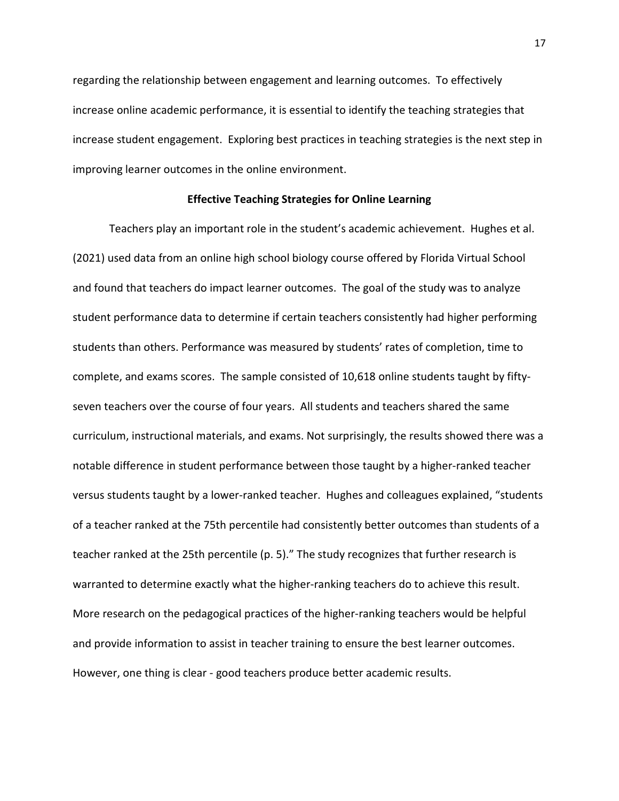regarding the relationship between engagement and learning outcomes. To effectively increase online academic performance, it is essential to identify the teaching strategies that increase student engagement. Exploring best practices in teaching strategies is the next step in improving learner outcomes in the online environment.

#### **Effective Teaching Strategies for Online Learning**

<span id="page-17-0"></span>Teachers play an important role in the student's academic achievement. Hughes et al. (2021) used data from an online high school biology course offered by Florida Virtual School and found that teachers do impact learner outcomes. The goal of the study was to analyze student performance data to determine if certain teachers consistently had higher performing students than others. Performance was measured by students' rates of completion, time to complete, and exams scores. The sample consisted of 10,618 online students taught by fiftyseven teachers over the course of four years. All students and teachers shared the same curriculum, instructional materials, and exams. Not surprisingly, the results showed there was a notable difference in student performance between those taught by a higher-ranked teacher versus students taught by a lower-ranked teacher. Hughes and colleagues explained, "students of a teacher ranked at the 75th percentile had consistently better outcomes than students of a teacher ranked at the 25th percentile (p. 5)." The study recognizes that further research is warranted to determine exactly what the higher-ranking teachers do to achieve this result. More research on the pedagogical practices of the higher-ranking teachers would be helpful and provide information to assist in teacher training to ensure the best learner outcomes. However, one thing is clear - good teachers produce better academic results.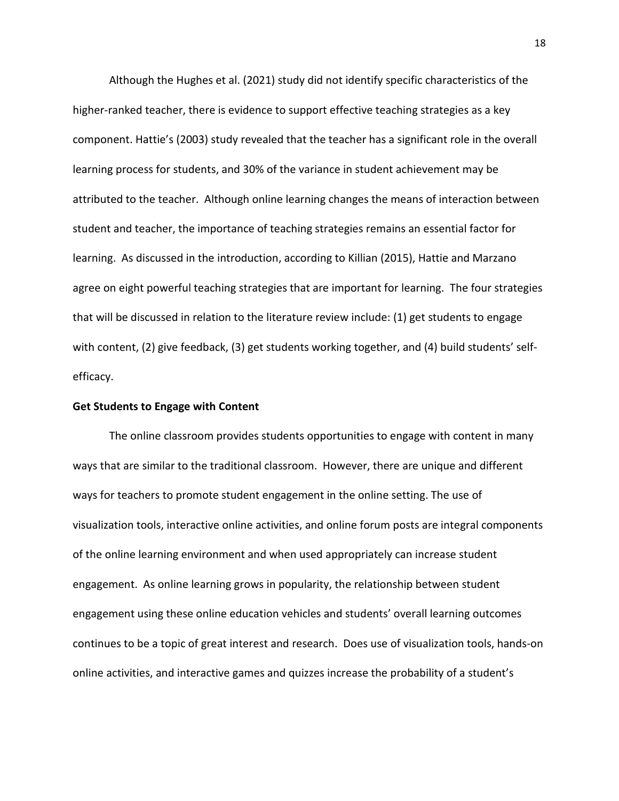Although the Hughes et al. (2021) study did not identify specific characteristics of the higher-ranked teacher, there is evidence to support effective teaching strategies as a key component. Hattie's (2003) study revealed that the teacher has a significant role in the overall learning process for students, and 30% of the variance in student achievement may be attributed to the teacher. Although online learning changes the means of interaction between student and teacher, the importance of teaching strategies remains an essential factor for learning. As discussed in the introduction, according to Killian (2015), Hattie and Marzano agree on eight powerful teaching strategies that are important for learning. The four strategies that will be discussed in relation to the literature review include: (1) get students to engage with content, (2) give feedback, (3) get students working together, and (4) build students' selfefficacy.

#### <span id="page-18-0"></span>**Get Students to Engage with Content**

The online classroom provides students opportunities to engage with content in many ways that are similar to the traditional classroom. However, there are unique and different ways for teachers to promote student engagement in the online setting. The use of visualization tools, interactive online activities, and online forum posts are integral components of the online learning environment and when used appropriately can increase student engagement. As online learning grows in popularity, the relationship between student engagement using these online education vehicles and students' overall learning outcomes continues to be a topic of great interest and research. Does use of visualization tools, hands-on online activities, and interactive games and quizzes increase the probability of a student's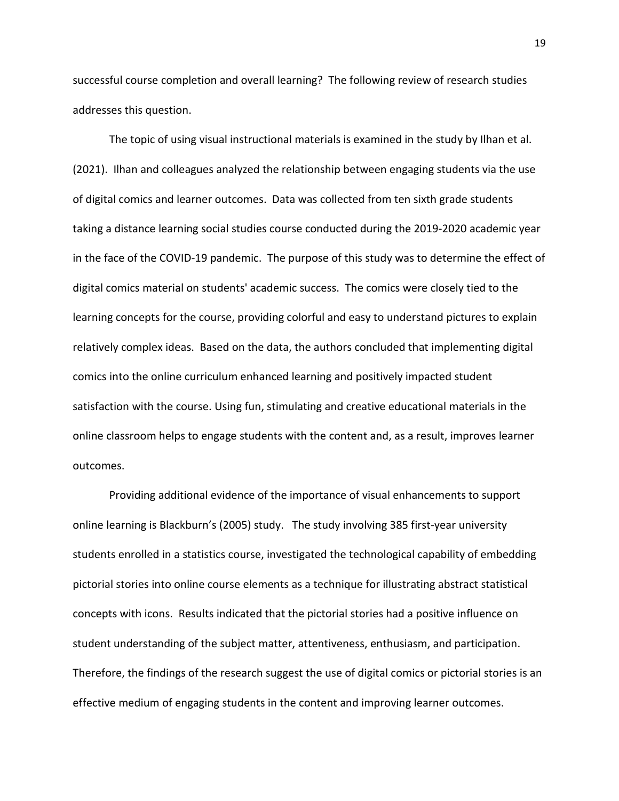successful course completion and overall learning? The following review of research studies addresses this question.

The topic of using visual instructional materials is examined in the study by Ilhan et al. (2021). Ilhan and colleagues analyzed the relationship between engaging students via the use of digital comics and learner outcomes. Data was collected from ten sixth grade students taking a distance learning social studies course conducted during the 2019-2020 academic year in the face of the COVID-19 pandemic. The purpose of this study was to determine the effect of digital comics material on students' academic success. The comics were closely tied to the learning concepts for the course, providing colorful and easy to understand pictures to explain relatively complex ideas. Based on the data, the authors concluded that implementing digital comics into the online curriculum enhanced learning and positively impacted student satisfaction with the course. Using fun, stimulating and creative educational materials in the online classroom helps to engage students with the content and, as a result, improves learner outcomes.

Providing additional evidence of the importance of visual enhancements to support online learning is Blackburn's (2005) study. The study involving 385 first-year university students enrolled in a statistics course, investigated the technological capability of embedding pictorial stories into online course elements as a technique for illustrating abstract statistical concepts with icons. Results indicated that the pictorial stories had a positive influence on student understanding of the subject matter, attentiveness, enthusiasm, and participation. Therefore, the findings of the research suggest the use of digital comics or pictorial stories is an effective medium of engaging students in the content and improving learner outcomes.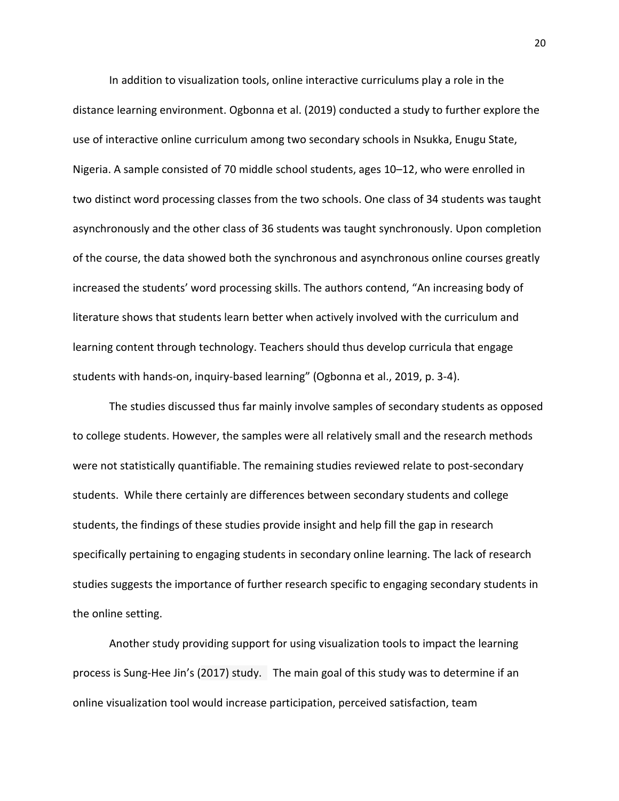In addition to visualization tools, online interactive curriculums play a role in the distance learning environment. Ogbonna et al. (2019) conducted a study to further explore the use of interactive online curriculum among two secondary schools in Nsukka, Enugu State, Nigeria. A sample consisted of 70 middle school students, ages 10–12, who were enrolled in two distinct word processing classes from the two schools. One class of 34 students was taught asynchronously and the other class of 36 students was taught synchronously. Upon completion of the course, the data showed both the synchronous and asynchronous online courses greatly increased the students' word processing skills. The authors contend, "An increasing body of literature shows that students learn better when actively involved with the curriculum and learning content through technology. Teachers should thus develop curricula that engage students with hands-on, inquiry-based learning" (Ogbonna et al., 2019, p. 3-4).

The studies discussed thus far mainly involve samples of secondary students as opposed to college students. However, the samples were all relatively small and the research methods were not statistically quantifiable. The remaining studies reviewed relate to post-secondary students. While there certainly are differences between secondary students and college students, the findings of these studies provide insight and help fill the gap in research specifically pertaining to engaging students in secondary online learning. The lack of research studies suggests the importance of further research specific to engaging secondary students in the online setting.

Another study providing support for using visualization tools to impact the learning process is Sung-Hee Jin's (2017) study. The main goal of this study was to determine if an online visualization tool would increase participation, perceived satisfaction, team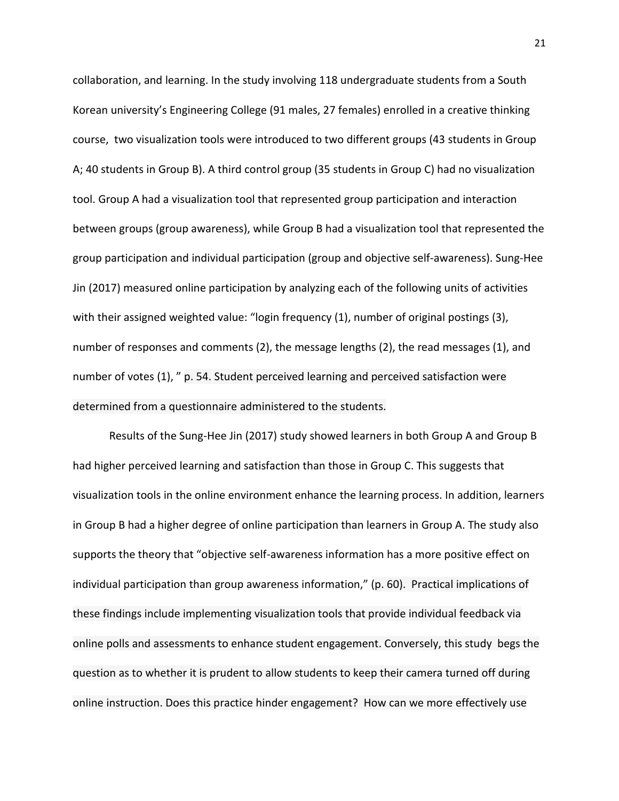collaboration, and learning. In the study involving 118 undergraduate students from a South Korean university's Engineering College (91 males, 27 females) enrolled in a creative thinking course, two visualization tools were introduced to two different groups (43 students in Group A; 40 students in Group B). A third control group (35 students in Group C) had no visualization tool. Group A had a visualization tool that represented group participation and interaction between groups (group awareness), while Group B had a visualization tool that represented the group participation and individual participation (group and objective self-awareness). Sung-Hee Jin (2017) measured online participation by analyzing each of the following units of activities with their assigned weighted value: "login frequency (1), number of original postings (3), number of responses and comments (2), the message lengths (2), the read messages (1), and number of votes (1), " p. 54. Student perceived learning and perceived satisfaction were determined from a questionnaire administered to the students.

Results of the Sung-Hee Jin (2017) study showed learners in both Group A and Group B had higher perceived learning and satisfaction than those in Group C. This suggests that visualization tools in the online environment enhance the learning process. In addition, learners in Group B had a higher degree of online participation than learners in Group A. The study also supports the theory that "objective self-awareness information has a more positive effect on individual participation than group awareness information," (p. 60). Practical implications of these findings include implementing visualization tools that provide individual feedback via online polls and assessments to enhance student engagement. Conversely, this study begs the question as to whether it is prudent to allow students to keep their camera turned off during online instruction. Does this practice hinder engagement? How can we more effectively use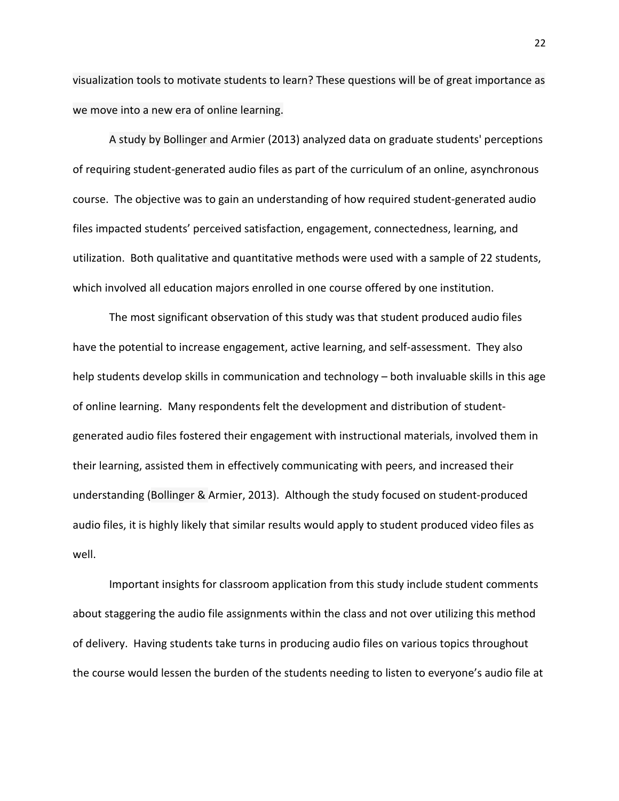visualization tools to motivate students to learn? These questions will be of great importance as we move into a new era of online learning.

A study by Bollinger and Armier (2013) analyzed data on graduate students' perceptions of requiring student-generated audio files as part of the curriculum of an online, asynchronous course. The objective was to gain an understanding of how required student-generated audio files impacted students' perceived satisfaction, engagement, connectedness, learning, and utilization. Both qualitative and quantitative methods were used with a sample of 22 students, which involved all education majors enrolled in one course offered by one institution.

The most significant observation of this study was that student produced audio files have the potential to increase engagement, active learning, and self-assessment. They also help students develop skills in communication and technology – both invaluable skills in this age of online learning. Many respondents felt the development and distribution of studentgenerated audio files fostered their engagement with instructional materials, involved them in their learning, assisted them in effectively communicating with peers, and increased their understanding (Bollinger & Armier, 2013). Although the study focused on student-produced audio files, it is highly likely that similar results would apply to student produced video files as well.

Important insights for classroom application from this study include student comments about staggering the audio file assignments within the class and not over utilizing this method of delivery. Having students take turns in producing audio files on various topics throughout the course would lessen the burden of the students needing to listen to everyone's audio file at

22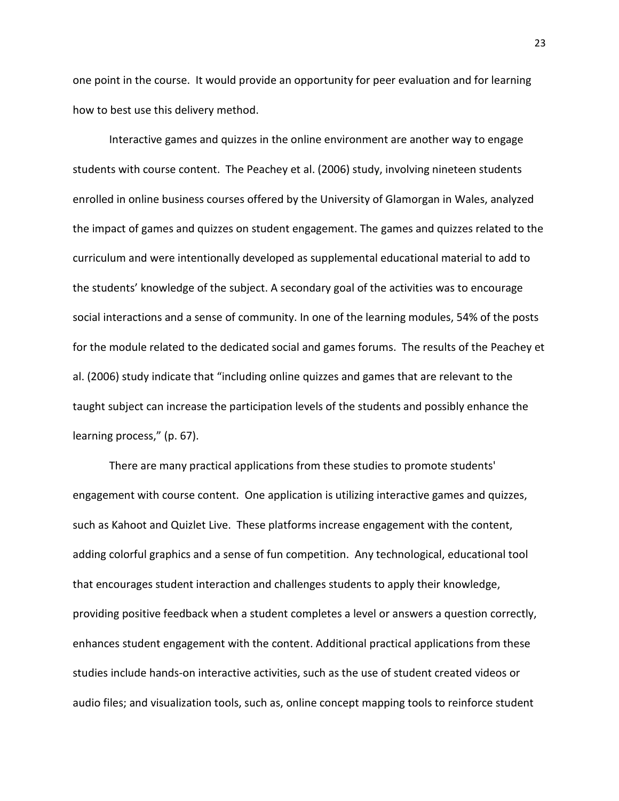one point in the course. It would provide an opportunity for peer evaluation and for learning how to best use this delivery method.

Interactive games and quizzes in the online environment are another way to engage students with course content. The Peachey et al. (2006) study, involving nineteen students enrolled in online business courses offered by the University of Glamorgan in Wales, analyzed the impact of games and quizzes on student engagement. The games and quizzes related to the curriculum and were intentionally developed as supplemental educational material to add to the students' knowledge of the subject. A secondary goal of the activities was to encourage social interactions and a sense of community. In one of the learning modules, 54% of the posts for the module related to the dedicated social and games forums. The results of the Peachey et al. (2006) study indicate that "including online quizzes and games that are relevant to the taught subject can increase the participation levels of the students and possibly enhance the learning process," (p. 67).

There are many practical applications from these studies to promote students' engagement with course content. One application is utilizing interactive games and quizzes, such as Kahoot and Quizlet Live. These platforms increase engagement with the content, adding colorful graphics and a sense of fun competition. Any technological, educational tool that encourages student interaction and challenges students to apply their knowledge, providing positive feedback when a student completes a level or answers a question correctly, enhances student engagement with the content. Additional practical applications from these studies include hands-on interactive activities, such as the use of student created videos or audio files; and visualization tools, such as, online concept mapping tools to reinforce student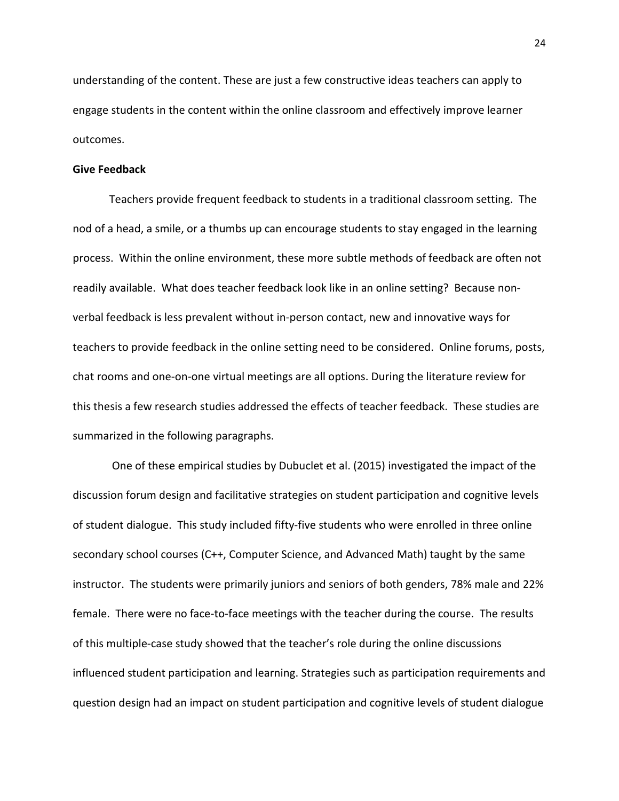understanding of the content. These are just a few constructive ideas teachers can apply to engage students in the content within the online classroom and effectively improve learner outcomes.

#### <span id="page-24-0"></span>**Give Feedback**

Teachers provide frequent feedback to students in a traditional classroom setting. The nod of a head, a smile, or a thumbs up can encourage students to stay engaged in the learning process. Within the online environment, these more subtle methods of feedback are often not readily available. What does teacher feedback look like in an online setting? Because nonverbal feedback is less prevalent without in-person contact, new and innovative ways for teachers to provide feedback in the online setting need to be considered. Online forums, posts, chat rooms and one-on-one virtual meetings are all options. During the literature review for this thesis a few research studies addressed the effects of teacher feedback. These studies are summarized in the following paragraphs.

One of these empirical studies by Dubuclet et al. (2015) investigated the impact of the discussion forum design and facilitative strategies on student participation and cognitive levels of student dialogue. This study included fifty-five students who were enrolled in three online secondary school courses (C++, Computer Science, and Advanced Math) taught by the same instructor. The students were primarily juniors and seniors of both genders, 78% male and 22% female. There were no face-to-face meetings with the teacher during the course. The results of this multiple-case study showed that the teacher's role during the online discussions influenced student participation and learning. Strategies such as participation requirements and question design had an impact on student participation and cognitive levels of student dialogue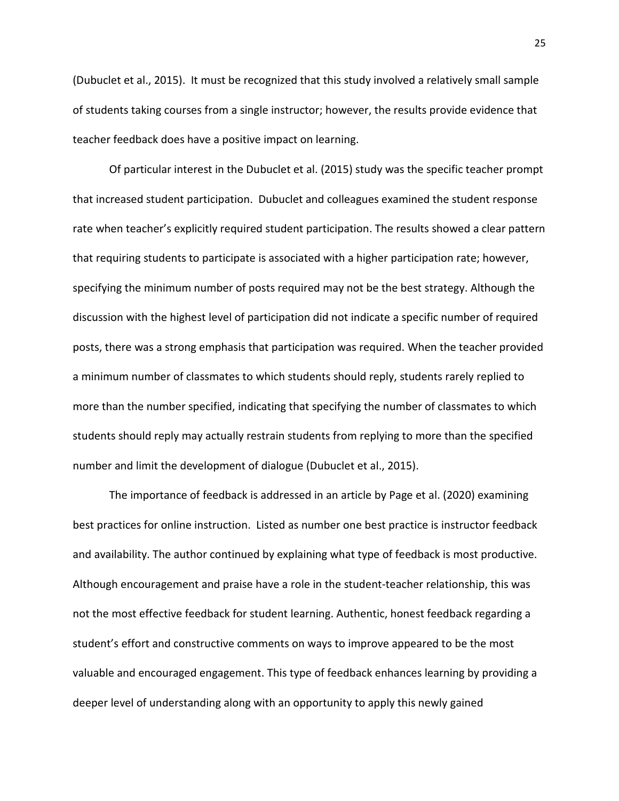(Dubuclet et al., 2015). It must be recognized that this study involved a relatively small sample of students taking courses from a single instructor; however, the results provide evidence that teacher feedback does have a positive impact on learning.

Of particular interest in the Dubuclet et al. (2015) study was the specific teacher prompt that increased student participation. Dubuclet and colleagues examined the student response rate when teacher's explicitly required student participation. The results showed a clear pattern that requiring students to participate is associated with a higher participation rate; however, specifying the minimum number of posts required may not be the best strategy. Although the discussion with the highest level of participation did not indicate a specific number of required posts, there was a strong emphasis that participation was required. When the teacher provided a minimum number of classmates to which students should reply, students rarely replied to more than the number specified, indicating that specifying the number of classmates to which students should reply may actually restrain students from replying to more than the specified number and limit the development of dialogue (Dubuclet et al., 2015).

The importance of feedback is addressed in an article by Page et al. (2020) examining best practices for online instruction. Listed as number one best practice is instructor feedback and availability. The author continued by explaining what type of feedback is most productive. Although encouragement and praise have a role in the student-teacher relationship, this was not the most effective feedback for student learning. Authentic, honest feedback regarding a student's effort and constructive comments on ways to improve appeared to be the most valuable and encouraged engagement. This type of feedback enhances learning by providing a deeper level of understanding along with an opportunity to apply this newly gained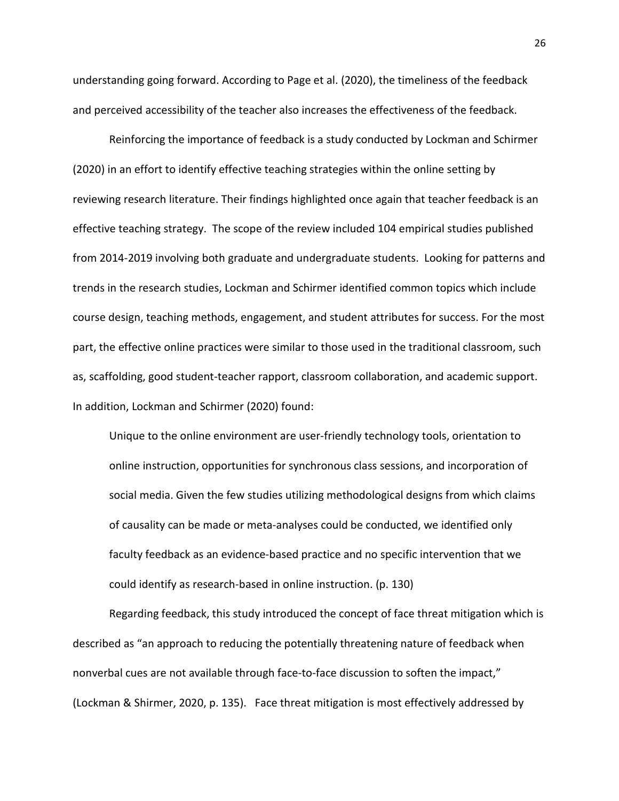understanding going forward. According to Page et al. (2020), the timeliness of the feedback and perceived accessibility of the teacher also increases the effectiveness of the feedback.

Reinforcing the importance of feedback is a study conducted by Lockman and Schirmer (2020) in an effort to identify effective teaching strategies within the online setting by reviewing research literature. Their findings highlighted once again that teacher feedback is an effective teaching strategy. The scope of the review included 104 empirical studies published from 2014-2019 involving both graduate and undergraduate students. Looking for patterns and trends in the research studies, Lockman and Schirmer identified common topics which include course design, teaching methods, engagement, and student attributes for success. For the most part, the effective online practices were similar to those used in the traditional classroom, such as, scaffolding, good student-teacher rapport, classroom collaboration, and academic support. In addition, Lockman and Schirmer (2020) found:

Unique to the online environment are user-friendly technology tools, orientation to online instruction, opportunities for synchronous class sessions, and incorporation of social media. Given the few studies utilizing methodological designs from which claims of causality can be made or meta-analyses could be conducted, we identified only faculty feedback as an evidence-based practice and no specific intervention that we could identify as research-based in online instruction. (p. 130)

Regarding feedback, this study introduced the concept of face threat mitigation which is described as "an approach to reducing the potentially threatening nature of feedback when nonverbal cues are not available through face-to-face discussion to soften the impact," (Lockman & Shirmer, 2020, p. 135). Face threat mitigation is most effectively addressed by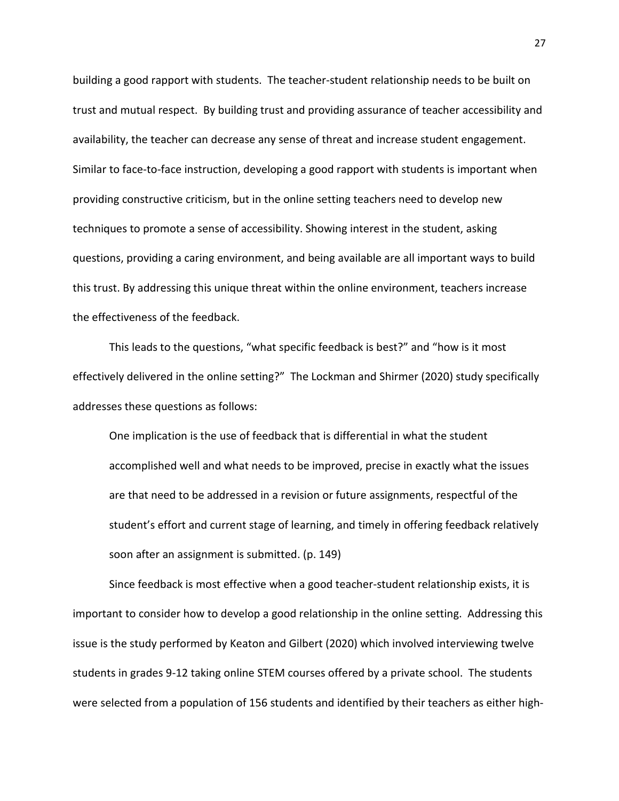building a good rapport with students. The teacher-student relationship needs to be built on trust and mutual respect. By building trust and providing assurance of teacher accessibility and availability, the teacher can decrease any sense of threat and increase student engagement. Similar to face-to-face instruction, developing a good rapport with students is important when providing constructive criticism, but in the online setting teachers need to develop new techniques to promote a sense of accessibility. Showing interest in the student, asking questions, providing a caring environment, and being available are all important ways to build this trust. By addressing this unique threat within the online environment, teachers increase the effectiveness of the feedback.

This leads to the questions, "what specific feedback is best?" and "how is it most effectively delivered in the online setting?" The Lockman and Shirmer (2020) study specifically addresses these questions as follows:

One implication is the use of feedback that is differential in what the student accomplished well and what needs to be improved, precise in exactly what the issues are that need to be addressed in a revision or future assignments, respectful of the student's effort and current stage of learning, and timely in offering feedback relatively soon after an assignment is submitted. (p. 149)

Since feedback is most effective when a good teacher-student relationship exists, it is important to consider how to develop a good relationship in the online setting. Addressing this issue is the study performed by Keaton and Gilbert (2020) which involved interviewing twelve students in grades 9-12 taking online STEM courses offered by a private school. The students were selected from a population of 156 students and identified by their teachers as either high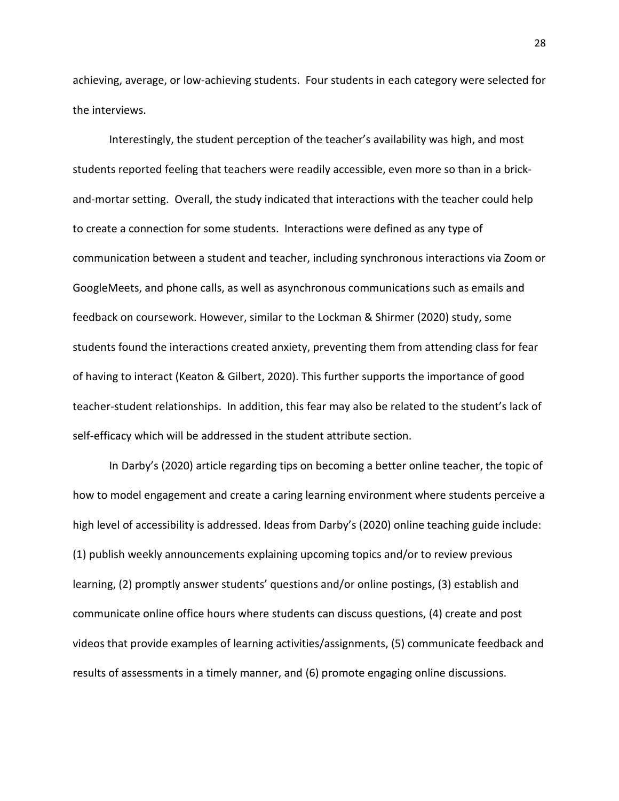achieving, average, or low-achieving students. Four students in each category were selected for the interviews.

Interestingly, the student perception of the teacher's availability was high, and most students reported feeling that teachers were readily accessible, even more so than in a brickand-mortar setting. Overall, the study indicated that interactions with the teacher could help to create a connection for some students. Interactions were defined as any type of communication between a student and teacher, including synchronous interactions via Zoom or GoogleMeets, and phone calls, as well as asynchronous communications such as emails and feedback on coursework. However, similar to the Lockman & Shirmer (2020) study, some students found the interactions created anxiety, preventing them from attending class for fear of having to interact (Keaton & Gilbert, 2020). This further supports the importance of good teacher-student relationships. In addition, this fear may also be related to the student's lack of self-efficacy which will be addressed in the student attribute section.

In Darby's (2020) article regarding tips on becoming a better online teacher, the topic of how to model engagement and create a caring learning environment where students perceive a high level of accessibility is addressed. Ideas from Darby's (2020) online teaching guide include: (1) publish weekly announcements explaining upcoming topics and/or to review previous learning, (2) promptly answer students' questions and/or online postings, (3) establish and communicate online office hours where students can discuss questions, (4) create and post videos that provide examples of learning activities/assignments, (5) communicate feedback and results of assessments in a timely manner, and (6) promote engaging online discussions.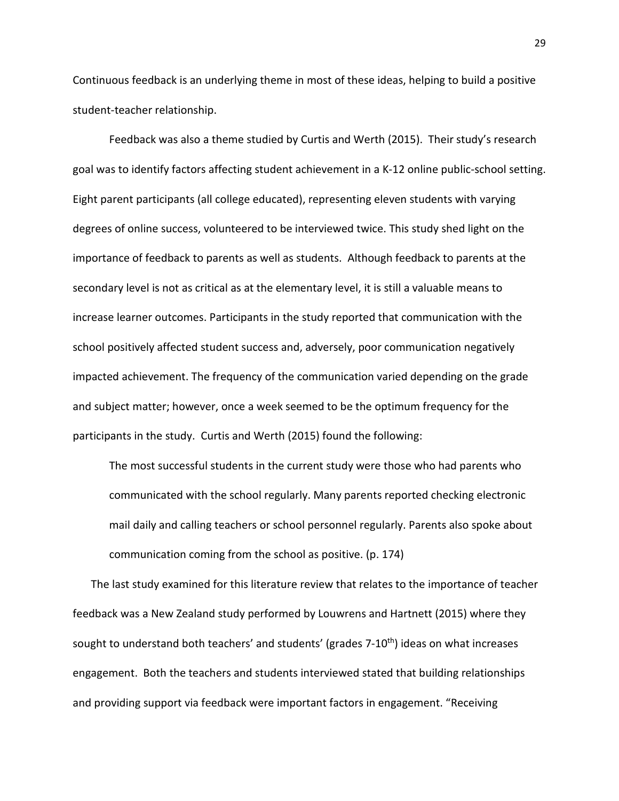Continuous feedback is an underlying theme in most of these ideas, helping to build a positive student-teacher relationship.

Feedback was also a theme studied by Curtis and Werth (2015). Their study's research goal was to identify factors affecting student achievement in a K-12 online public-school setting. Eight parent participants (all college educated), representing eleven students with varying degrees of online success, volunteered to be interviewed twice. This study shed light on the importance of feedback to parents as well as students. Although feedback to parents at the secondary level is not as critical as at the elementary level, it is still a valuable means to increase learner outcomes. Participants in the study reported that communication with the school positively affected student success and, adversely, poor communication negatively impacted achievement. The frequency of the communication varied depending on the grade and subject matter; however, once a week seemed to be the optimum frequency for the participants in the study. Curtis and Werth (2015) found the following:

The most successful students in the current study were those who had parents who communicated with the school regularly. Many parents reported checking electronic mail daily and calling teachers or school personnel regularly. Parents also spoke about communication coming from the school as positive. (p. 174)

The last study examined for this literature review that relates to the importance of teacher feedback was a New Zealand study performed by Louwrens and Hartnett (2015) where they sought to understand both teachers' and students' (grades 7-10<sup>th</sup>) ideas on what increases engagement. Both the teachers and students interviewed stated that building relationships and providing support via feedback were important factors in engagement. "Receiving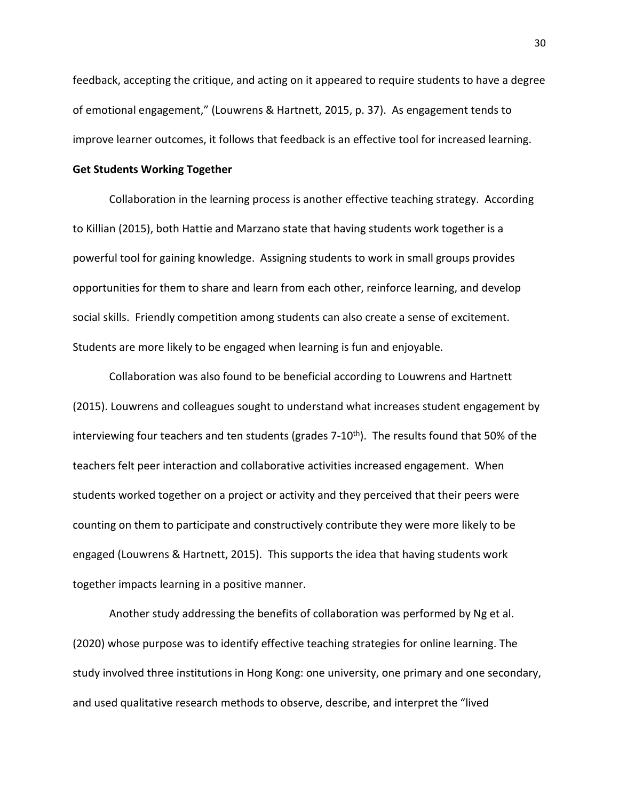feedback, accepting the critique, and acting on it appeared to require students to have a degree of emotional engagement," (Louwrens & Hartnett, 2015, p. 37). As engagement tends to improve learner outcomes, it follows that feedback is an effective tool for increased learning.

#### <span id="page-30-0"></span>**Get Students Working Together**

Collaboration in the learning process is another effective teaching strategy. According to Killian (2015), both Hattie and Marzano state that having students work together is a powerful tool for gaining knowledge. Assigning students to work in small groups provides opportunities for them to share and learn from each other, reinforce learning, and develop social skills. Friendly competition among students can also create a sense of excitement. Students are more likely to be engaged when learning is fun and enjoyable.

Collaboration was also found to be beneficial according to Louwrens and Hartnett (2015). Louwrens and colleagues sought to understand what increases student engagement by interviewing four teachers and ten students (grades  $7-10<sup>th</sup>$ ). The results found that 50% of the teachers felt peer interaction and collaborative activities increased engagement. When students worked together on a project or activity and they perceived that their peers were counting on them to participate and constructively contribute they were more likely to be engaged (Louwrens & Hartnett, 2015). This supports the idea that having students work together impacts learning in a positive manner.

Another study addressing the benefits of collaboration was performed by Ng et al. (2020) whose purpose was to identify effective teaching strategies for online learning. The study involved three institutions in Hong Kong: one university, one primary and one secondary, and used qualitative research methods to observe, describe, and interpret the "lived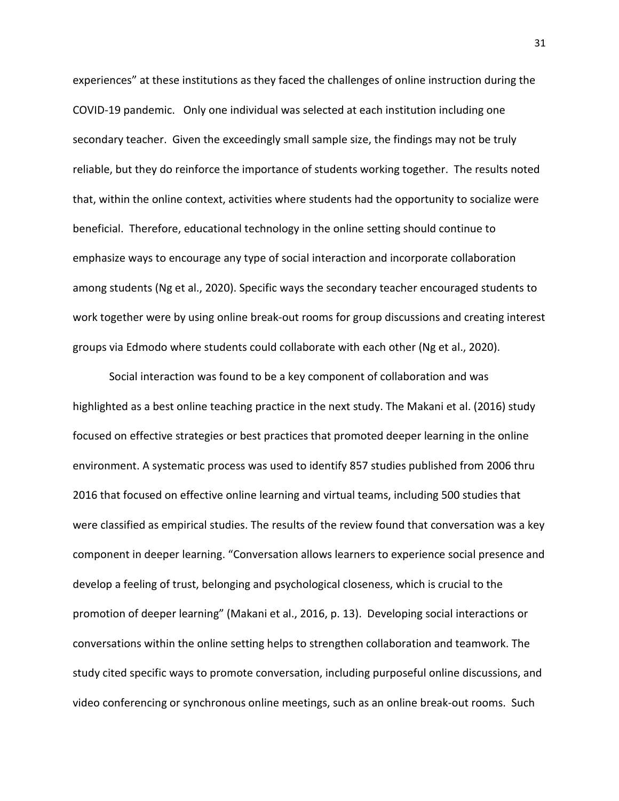experiences" at these institutions as they faced the challenges of online instruction during the COVID-19 pandemic. Only one individual was selected at each institution including one secondary teacher. Given the exceedingly small sample size, the findings may not be truly reliable, but they do reinforce the importance of students working together. The results noted that, within the online context, activities where students had the opportunity to socialize were beneficial. Therefore, educational technology in the online setting should continue to emphasize ways to encourage any type of social interaction and incorporate collaboration among students (Ng et al., 2020). Specific ways the secondary teacher encouraged students to work together were by using online break-out rooms for group discussions and creating interest groups via Edmodo where students could collaborate with each other (Ng et al., 2020).

Social interaction was found to be a key component of collaboration and was highlighted as a best online teaching practice in the next study. The Makani et al. (2016) study focused on effective strategies or best practices that promoted deeper learning in the online environment. A systematic process was used to identify 857 studies published from 2006 thru 2016 that focused on effective online learning and virtual teams, including 500 studies that were classified as empirical studies. The results of the review found that conversation was a key component in deeper learning. "Conversation allows learners to experience social presence and develop a feeling of trust, belonging and psychological closeness, which is crucial to the promotion of deeper learning" (Makani et al., 2016, p. 13). Developing social interactions or conversations within the online setting helps to strengthen collaboration and teamwork. The study cited specific ways to promote conversation, including purposeful online discussions, and video conferencing or synchronous online meetings, such as an online break-out rooms. Such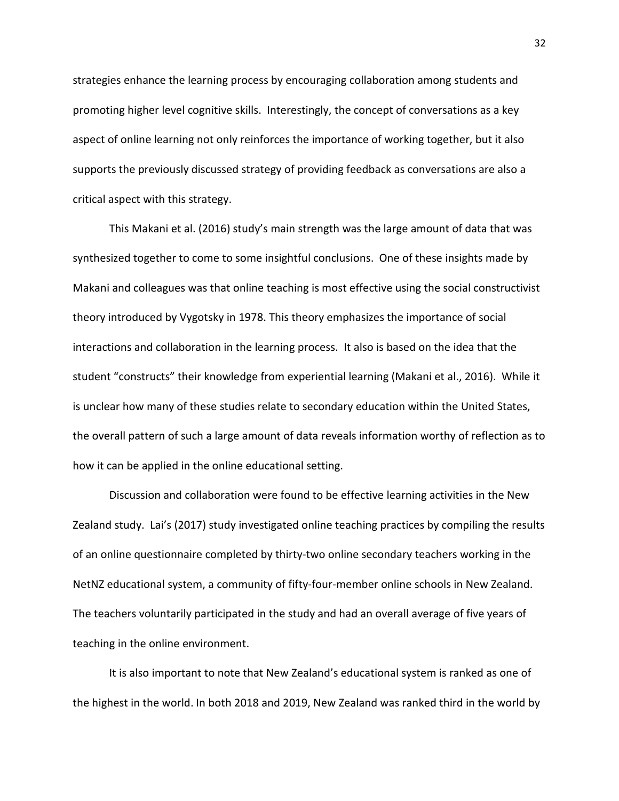strategies enhance the learning process by encouraging collaboration among students and promoting higher level cognitive skills. Interestingly, the concept of conversations as a key aspect of online learning not only reinforces the importance of working together, but it also supports the previously discussed strategy of providing feedback as conversations are also a critical aspect with this strategy.

This Makani et al. (2016) study's main strength was the large amount of data that was synthesized together to come to some insightful conclusions. One of these insights made by Makani and colleagues was that online teaching is most effective using the social constructivist theory introduced by Vygotsky in 1978. This theory emphasizes the importance of social interactions and collaboration in the learning process. It also is based on the idea that the student "constructs" their knowledge from experiential learning (Makani et al., 2016). While it is unclear how many of these studies relate to secondary education within the United States, the overall pattern of such a large amount of data reveals information worthy of reflection as to how it can be applied in the online educational setting.

Discussion and collaboration were found to be effective learning activities in the New Zealand study. Lai's (2017) study investigated online teaching practices by compiling the results of an online questionnaire completed by thirty-two online secondary teachers working in the NetNZ educational system, a community of fifty-four-member online schools in New Zealand. The teachers voluntarily participated in the study and had an overall average of five years of teaching in the online environment.

It is also important to note that New Zealand's educational system is ranked as one of the highest in the world. In both 2018 and 2019, New Zealand was ranked third in the world by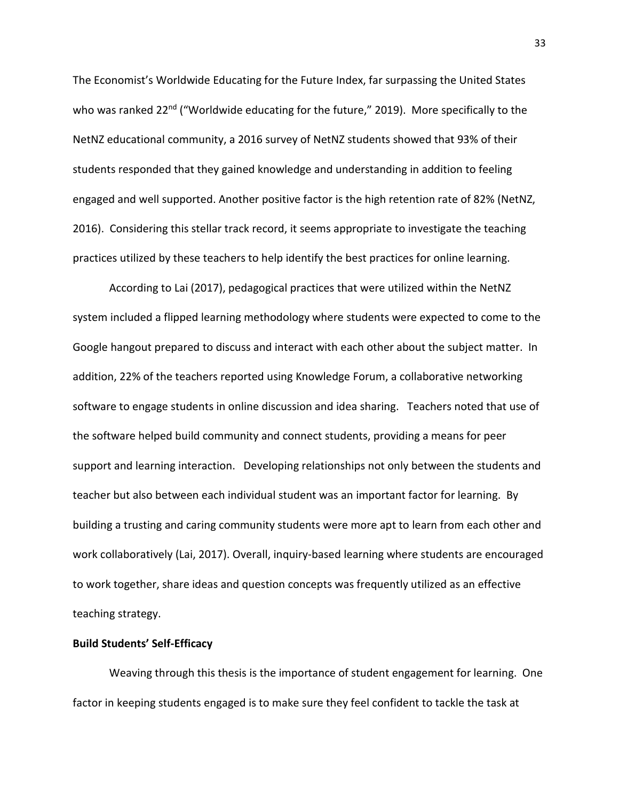The Economist's Worldwide Educating for the Future Index, far surpassing the United States who was ranked 22<sup>nd</sup> ("Worldwide educating for the future," 2019). More specifically to the NetNZ educational community, a 2016 survey of NetNZ students showed that 93% of their students responded that they gained knowledge and understanding in addition to feeling engaged and well supported. Another positive factor is the high retention rate of 82% (NetNZ, 2016). Considering this stellar track record, it seems appropriate to investigate the teaching practices utilized by these teachers to help identify the best practices for online learning.

According to Lai (2017), pedagogical practices that were utilized within the NetNZ system included a flipped learning methodology where students were expected to come to the Google hangout prepared to discuss and interact with each other about the subject matter. In addition, 22% of the teachers reported using Knowledge Forum, a collaborative networking software to engage students in online discussion and idea sharing. Teachers noted that use of the software helped build community and connect students, providing a means for peer support and learning interaction. Developing relationships not only between the students and teacher but also between each individual student was an important factor for learning. By building a trusting and caring community students were more apt to learn from each other and work collaboratively (Lai, 2017). Overall, inquiry-based learning where students are encouraged to work together, share ideas and question concepts was frequently utilized as an effective teaching strategy.

#### <span id="page-33-0"></span>**Build Students' Self-Efficacy**

Weaving through this thesis is the importance of student engagement for learning. One factor in keeping students engaged is to make sure they feel confident to tackle the task at

33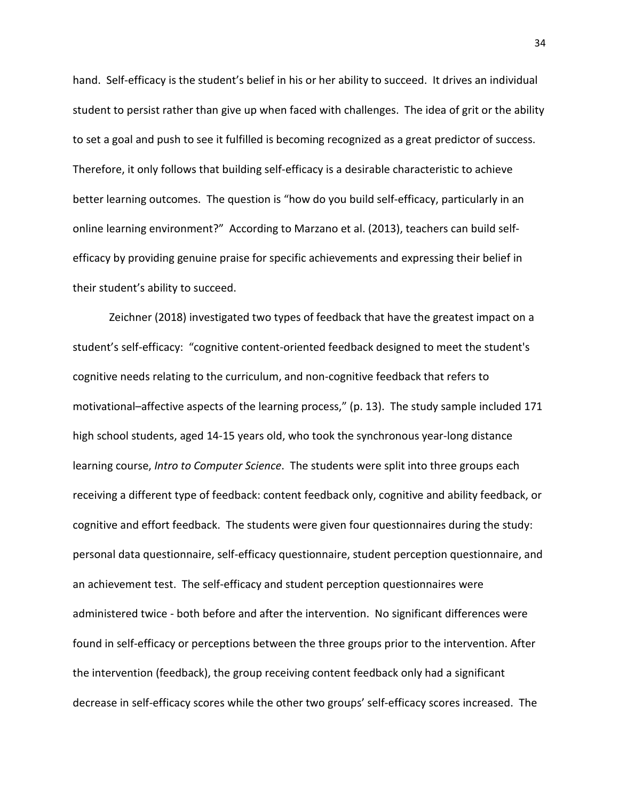hand. Self-efficacy is the student's belief in his or her ability to succeed. It drives an individual student to persist rather than give up when faced with challenges. The idea of grit or the ability to set a goal and push to see it fulfilled is becoming recognized as a great predictor of success. Therefore, it only follows that building self-efficacy is a desirable characteristic to achieve better learning outcomes. The question is "how do you build self-efficacy, particularly in an online learning environment?" According to Marzano et al. (2013), teachers can build selfefficacy by providing genuine praise for specific achievements and expressing their belief in their student's ability to succeed.

Zeichner (2018) investigated two types of feedback that have the greatest impact on a student's self-efficacy: "cognitive content-oriented feedback designed to meet the student's cognitive needs relating to the curriculum, and non-cognitive feedback that refers to motivational–affective aspects of the learning process," (p. 13). The study sample included 171 high school students, aged 14-15 years old, who took the synchronous year-long distance learning course, *Intro to Computer Science*. The students were split into three groups each receiving a different type of feedback: content feedback only, cognitive and ability feedback, or cognitive and effort feedback. The students were given four questionnaires during the study: personal data questionnaire, self-efficacy questionnaire, student perception questionnaire, and an achievement test. The self-efficacy and student perception questionnaires were administered twice - both before and after the intervention. No significant differences were found in self-efficacy or perceptions between the three groups prior to the intervention. After the intervention (feedback), the group receiving content feedback only had a significant decrease in self-efficacy scores while the other two groups' self-efficacy scores increased. The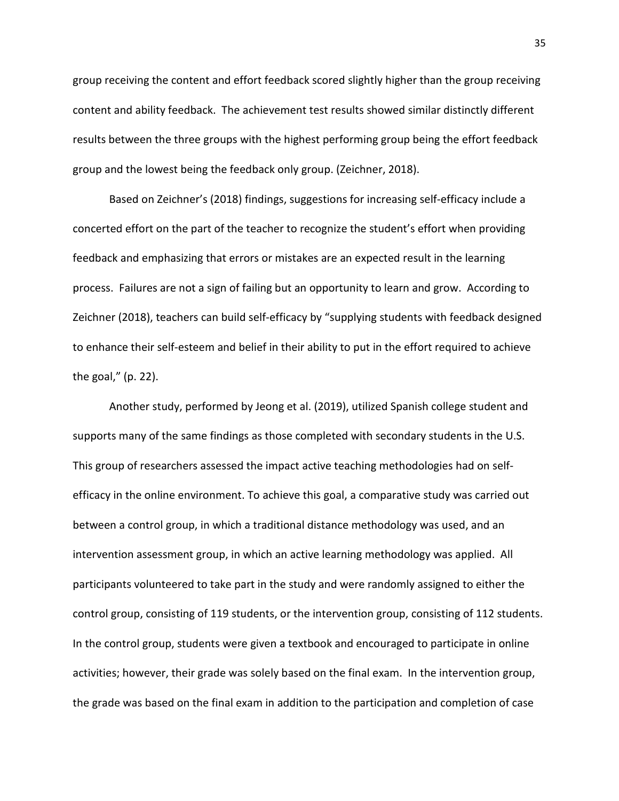group receiving the content and effort feedback scored slightly higher than the group receiving content and ability feedback. The achievement test results showed similar distinctly different results between the three groups with the highest performing group being the effort feedback group and the lowest being the feedback only group. (Zeichner, 2018).

Based on Zeichner's (2018) findings, suggestions for increasing self-efficacy include a concerted effort on the part of the teacher to recognize the student's effort when providing feedback and emphasizing that errors or mistakes are an expected result in the learning process. Failures are not a sign of failing but an opportunity to learn and grow. According to Zeichner (2018), teachers can build self-efficacy by "supplying students with feedback designed to enhance their self-esteem and belief in their ability to put in the effort required to achieve the goal," (p. 22).

Another study, performed by Jeong et al. (2019), utilized Spanish college student and supports many of the same findings as those completed with secondary students in the U.S. This group of researchers assessed the impact active teaching methodologies had on selfefficacy in the online environment. To achieve this goal, a comparative study was carried out between a control group, in which a traditional distance methodology was used, and an intervention assessment group, in which an active learning methodology was applied. All participants volunteered to take part in the study and were randomly assigned to either the control group, consisting of 119 students, or the intervention group, consisting of 112 students. In the control group, students were given a textbook and encouraged to participate in online activities; however, their grade was solely based on the final exam. In the intervention group, the grade was based on the final exam in addition to the participation and completion of case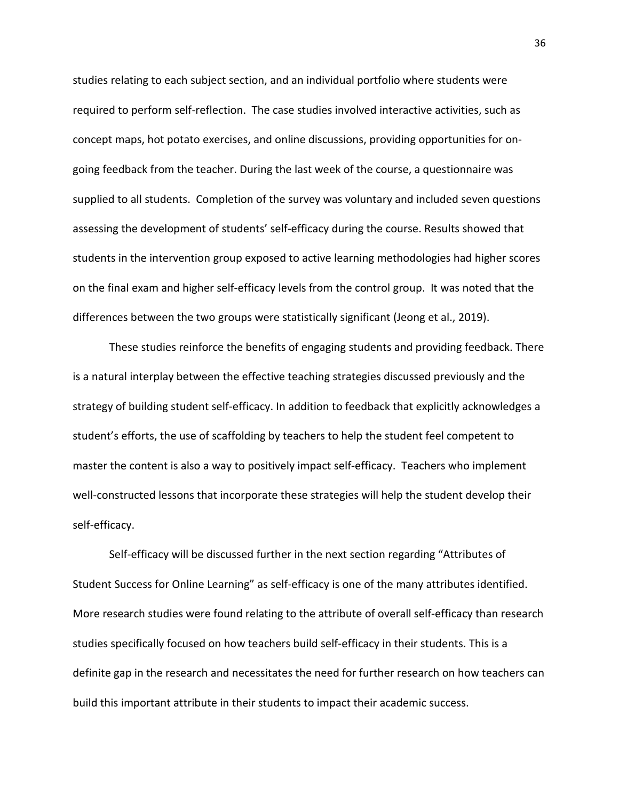studies relating to each subject section, and an individual portfolio where students were required to perform self-reflection. The case studies involved interactive activities, such as concept maps, hot potato exercises, and online discussions, providing opportunities for ongoing feedback from the teacher. During the last week of the course, a questionnaire was supplied to all students. Completion of the survey was voluntary and included seven questions assessing the development of students' self-efficacy during the course. Results showed that students in the intervention group exposed to active learning methodologies had higher scores on the final exam and higher self-efficacy levels from the control group. It was noted that the differences between the two groups were statistically significant (Jeong et al., 2019).

These studies reinforce the benefits of engaging students and providing feedback. There is a natural interplay between the effective teaching strategies discussed previously and the strategy of building student self-efficacy. In addition to feedback that explicitly acknowledges a student's efforts, the use of scaffolding by teachers to help the student feel competent to master the content is also a way to positively impact self-efficacy. Teachers who implement well-constructed lessons that incorporate these strategies will help the student develop their self-efficacy.

Self-efficacy will be discussed further in the next section regarding "Attributes of Student Success for Online Learning" as self-efficacy is one of the many attributes identified. More research studies were found relating to the attribute of overall self-efficacy than research studies specifically focused on how teachers build self-efficacy in their students. This is a definite gap in the research and necessitates the need for further research on how teachers can build this important attribute in their students to impact their academic success.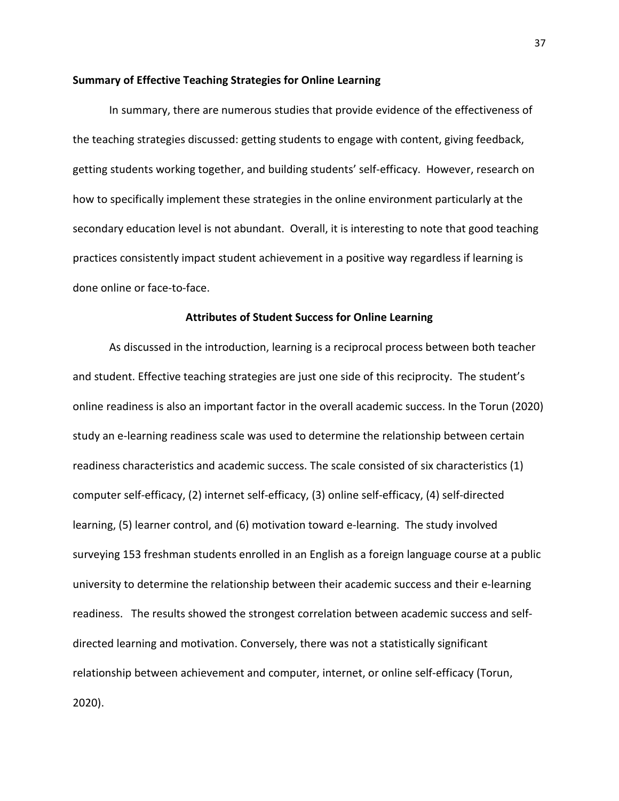### **Summary of Effective Teaching Strategies for Online Learning**

In summary, there are numerous studies that provide evidence of the effectiveness of the teaching strategies discussed: getting students to engage with content, giving feedback, getting students working together, and building students' self-efficacy. However, research on how to specifically implement these strategies in the online environment particularly at the secondary education level is not abundant. Overall, it is interesting to note that good teaching practices consistently impact student achievement in a positive way regardless if learning is done online or face-to-face.

# **Attributes of Student Success for Online Learning**

As discussed in the introduction, learning is a reciprocal process between both teacher and student. Effective teaching strategies are just one side of this reciprocity. The student's online readiness is also an important factor in the overall academic success. In the Torun (2020) study an e-learning readiness scale was used to determine the relationship between certain readiness characteristics and academic success. The scale consisted of six characteristics (1) computer self-efficacy, (2) internet self-efficacy, (3) online self-efficacy, (4) self-directed learning, (5) learner control, and (6) motivation toward e-learning. The study involved surveying 153 freshman students enrolled in an English as a foreign language course at a public university to determine the relationship between their academic success and their e-learning readiness. The results showed the strongest correlation between academic success and selfdirected learning and motivation. Conversely, there was not a statistically significant relationship between achievement and computer, internet, or online self-efficacy (Torun, 2020).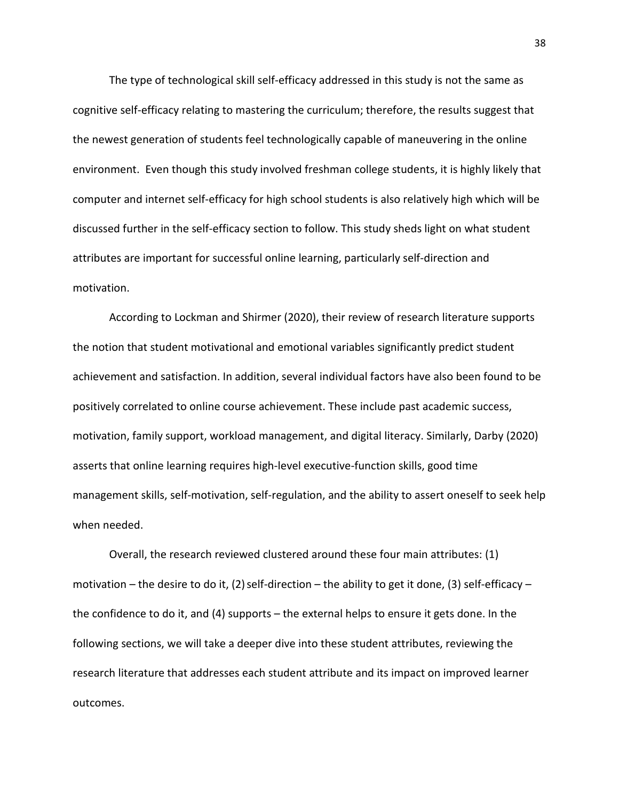The type of technological skill self-efficacy addressed in this study is not the same as cognitive self-efficacy relating to mastering the curriculum; therefore, the results suggest that the newest generation of students feel technologically capable of maneuvering in the online environment. Even though this study involved freshman college students, it is highly likely that computer and internet self-efficacy for high school students is also relatively high which will be discussed further in the self-efficacy section to follow. This study sheds light on what student attributes are important for successful online learning, particularly self-direction and motivation.

 According to Lockman and Shirmer (2020), their review of research literature supports the notion that student motivational and emotional variables significantly predict student achievement and satisfaction. In addition, several individual factors have also been found to be positively correlated to online course achievement. These include past academic success, motivation, family support, workload management, and digital literacy. Similarly, Darby (2020) asserts that online learning requires high-level executive-function skills, good time management skills, self-motivation, self-regulation, and the ability to assert oneself to seek help when needed.

Overall, the research reviewed clustered around these four main attributes: (1) motivation – the desire to do it, (2) self-direction – the ability to get it done, (3) self-efficacy – the confidence to do it, and (4) supports – the external helps to ensure it gets done. In the following sections, we will take a deeper dive into these student attributes, reviewing the research literature that addresses each student attribute and its impact on improved learner outcomes.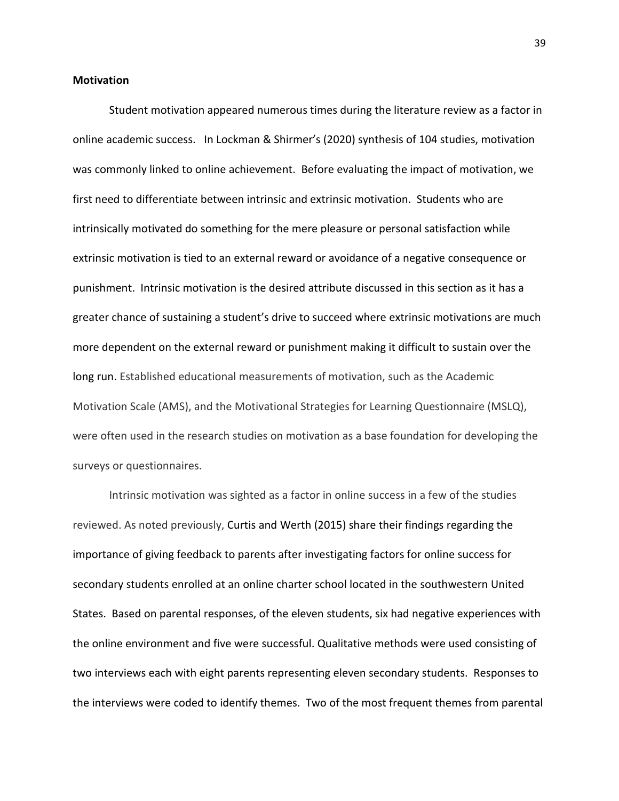### **Motivation**

Student motivation appeared numerous times during the literature review as a factor in online academic success. In Lockman & Shirmer's (2020) synthesis of 104 studies, motivation was commonly linked to online achievement. Before evaluating the impact of motivation, we first need to differentiate between intrinsic and extrinsic motivation. Students who are intrinsically motivated do something for the mere pleasure or personal satisfaction while extrinsic motivation is tied to an external reward or avoidance of a negative consequence or punishment. Intrinsic motivation is the desired attribute discussed in this section as it has a greater chance of sustaining a student's drive to succeed where extrinsic motivations are much more dependent on the external reward or punishment making it difficult to sustain over the long run. Established educational measurements of motivation, such as the Academic Motivation Scale (AMS), and the Motivational Strategies for Learning Questionnaire (MSLQ), were often used in the research studies on motivation as a base foundation for developing the surveys or questionnaires.

Intrinsic motivation was sighted as a factor in online success in a few of the studies reviewed. As noted previously, Curtis and Werth (2015) share their findings regarding the importance of giving feedback to parents after investigating factors for online success for secondary students enrolled at an online charter school located in the southwestern United States. Based on parental responses, of the eleven students, six had negative experiences with the online environment and five were successful. Qualitative methods were used consisting of two interviews each with eight parents representing eleven secondary students. Responses to the interviews were coded to identify themes. Two of the most frequent themes from parental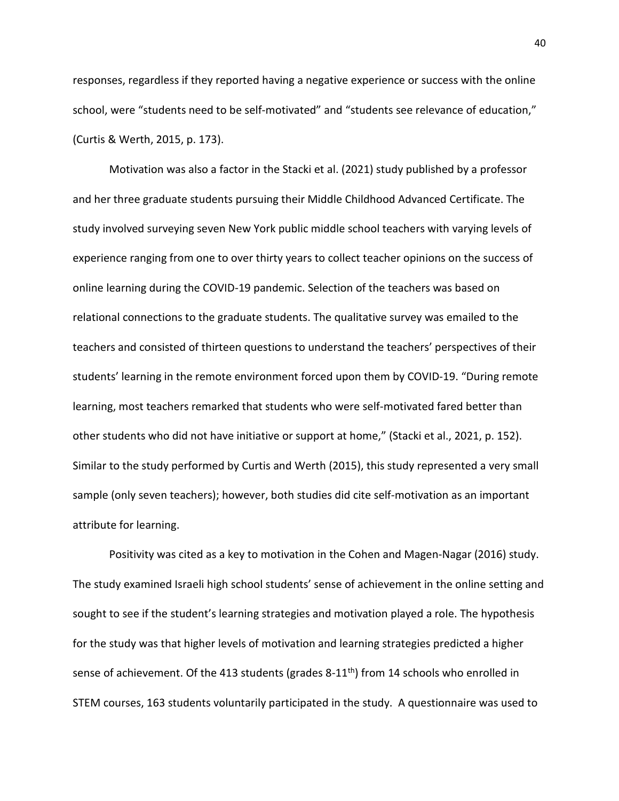responses, regardless if they reported having a negative experience or success with the online school, were "students need to be self-motivated" and "students see relevance of education," (Curtis & Werth, 2015, p. 173).

Motivation was also a factor in the Stacki et al. (2021) study published by a professor and her three graduate students pursuing their Middle Childhood Advanced Certificate. The study involved surveying seven New York public middle school teachers with varying levels of experience ranging from one to over thirty years to collect teacher opinions on the success of online learning during the COVID-19 pandemic. Selection of the teachers was based on relational connections to the graduate students. The qualitative survey was emailed to the teachers and consisted of thirteen questions to understand the teachers' perspectives of their students' learning in the remote environment forced upon them by COVID-19. "During remote learning, most teachers remarked that students who were self-motivated fared better than other students who did not have initiative or support at home," (Stacki et al., 2021, p. 152). Similar to the study performed by Curtis and Werth (2015), this study represented a very small sample (only seven teachers); however, both studies did cite self-motivation as an important attribute for learning.

Positivity was cited as a key to motivation in the Cohen and Magen-Nagar (2016) study. The study examined Israeli high school students' sense of achievement in the online setting and sought to see if the student's learning strategies and motivation played a role. The hypothesis for the study was that higher levels of motivation and learning strategies predicted a higher sense of achievement. Of the 413 students (grades  $8-11<sup>th</sup>$ ) from 14 schools who enrolled in STEM courses, 163 students voluntarily participated in the study. A questionnaire was used to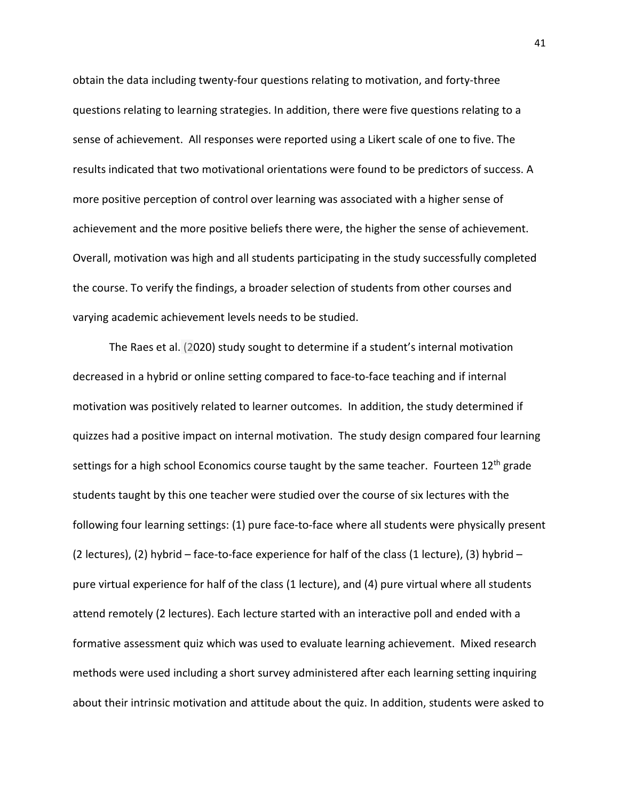obtain the data including twenty-four questions relating to motivation, and forty-three questions relating to learning strategies. In addition, there were five questions relating to a sense of achievement. All responses were reported using a Likert scale of one to five. The results indicated that two motivational orientations were found to be predictors of success. A more positive perception of control over learning was associated with a higher sense of achievement and the more positive beliefs there were, the higher the sense of achievement. Overall, motivation was high and all students participating in the study successfully completed the course. To verify the findings, a broader selection of students from other courses and varying academic achievement levels needs to be studied.

The Raes et al. (2020) study sought to determine if a student's internal motivation decreased in a hybrid or online setting compared to face-to-face teaching and if internal motivation was positively related to learner outcomes. In addition, the study determined if quizzes had a positive impact on internal motivation. The study design compared four learning settings for a high school Economics course taught by the same teacher. Fourteen 12<sup>th</sup> grade students taught by this one teacher were studied over the course of six lectures with the following four learning settings: (1) pure face-to-face where all students were physically present (2 lectures), (2) hybrid – face-to-face experience for half of the class (1 lecture), (3) hybrid – pure virtual experience for half of the class (1 lecture), and (4) pure virtual where all students attend remotely (2 lectures). Each lecture started with an interactive poll and ended with a formative assessment quiz which was used to evaluate learning achievement. Mixed research methods were used including a short survey administered after each learning setting inquiring about their intrinsic motivation and attitude about the quiz. In addition, students were asked to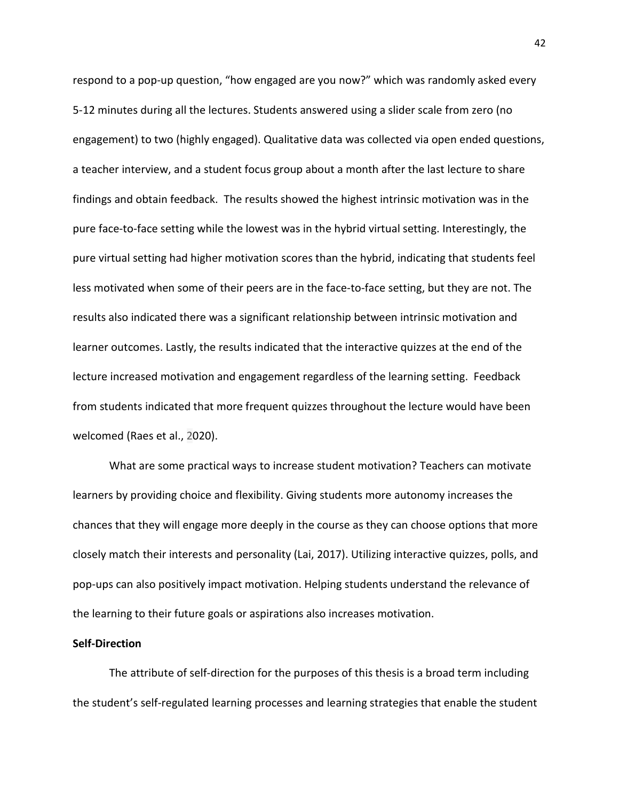respond to a pop-up question, "how engaged are you now?" which was randomly asked every 5-12 minutes during all the lectures. Students answered using a slider scale from zero (no engagement) to two (highly engaged). Qualitative data was collected via open ended questions, a teacher interview, and a student focus group about a month after the last lecture to share findings and obtain feedback. The results showed the highest intrinsic motivation was in the pure face-to-face setting while the lowest was in the hybrid virtual setting. Interestingly, the pure virtual setting had higher motivation scores than the hybrid, indicating that students feel less motivated when some of their peers are in the face-to-face setting, but they are not. The results also indicated there was a significant relationship between intrinsic motivation and learner outcomes. Lastly, the results indicated that the interactive quizzes at the end of the lecture increased motivation and engagement regardless of the learning setting. Feedback from students indicated that more frequent quizzes throughout the lecture would have been welcomed (Raes et al., 2020).

What are some practical ways to increase student motivation? Teachers can motivate learners by providing choice and flexibility. Giving students more autonomy increases the chances that they will engage more deeply in the course as they can choose options that more closely match their interests and personality (Lai, 2017). Utilizing interactive quizzes, polls, and pop-ups can also positively impact motivation. Helping students understand the relevance of the learning to their future goals or aspirations also increases motivation.

### **Self-Direction**

The attribute of self-direction for the purposes of this thesis is a broad term including the student's self-regulated learning processes and learning strategies that enable the student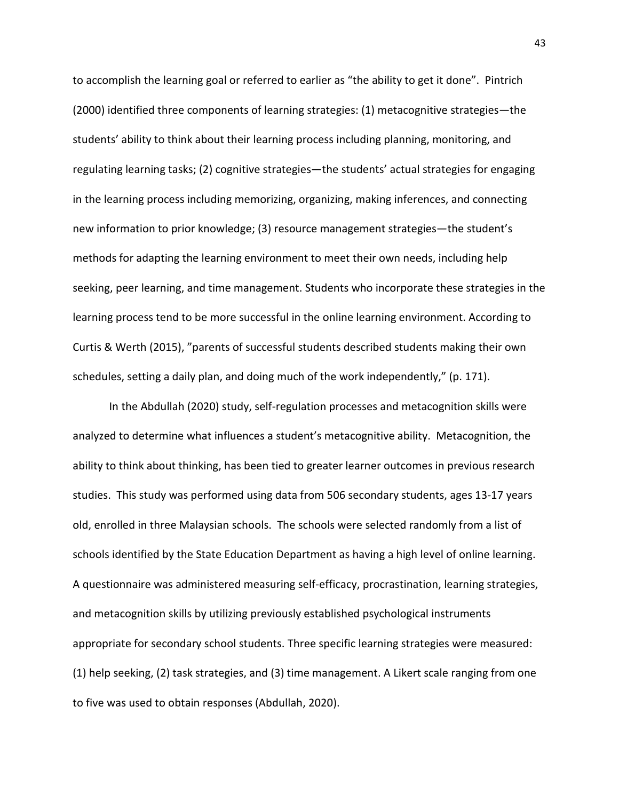to accomplish the learning goal or referred to earlier as "the ability to get it done". Pintrich (2000) identified three components of learning strategies: (1) metacognitive strategies—the students' ability to think about their learning process including planning, monitoring, and regulating learning tasks; (2) cognitive strategies—the students' actual strategies for engaging in the learning process including memorizing, organizing, making inferences, and connecting new information to prior knowledge; (3) resource management strategies—the student's methods for adapting the learning environment to meet their own needs, including help seeking, peer learning, and time management. Students who incorporate these strategies in the learning process tend to be more successful in the online learning environment. According to Curtis & Werth (2015), "parents of successful students described students making their own schedules, setting a daily plan, and doing much of the work independently," (p. 171).

In the Abdullah (2020) study, self-regulation processes and metacognition skills were analyzed to determine what influences a student's metacognitive ability. Metacognition, the ability to think about thinking, has been tied to greater learner outcomes in previous research studies. This study was performed using data from 506 secondary students, ages 13-17 years old, enrolled in three Malaysian schools. The schools were selected randomly from a list of schools identified by the State Education Department as having a high level of online learning. A questionnaire was administered measuring self-efficacy, procrastination, learning strategies, and metacognition skills by utilizing previously established psychological instruments appropriate for secondary school students. Three specific learning strategies were measured: (1) help seeking, (2) task strategies, and (3) time management. A Likert scale ranging from one to five was used to obtain responses (Abdullah, 2020).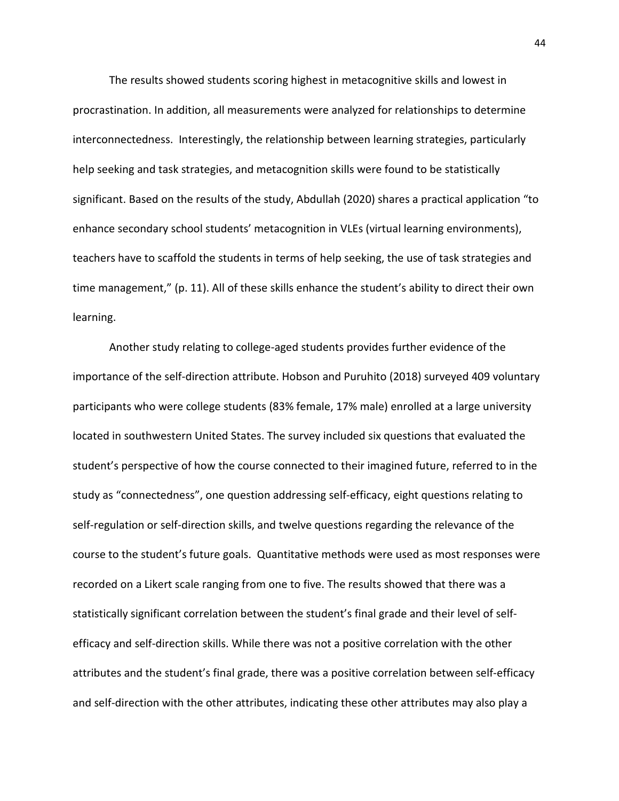The results showed students scoring highest in metacognitive skills and lowest in procrastination. In addition, all measurements were analyzed for relationships to determine interconnectedness. Interestingly, the relationship between learning strategies, particularly help seeking and task strategies, and metacognition skills were found to be statistically significant. Based on the results of the study, Abdullah (2020) shares a practical application "to enhance secondary school students' metacognition in VLEs (virtual learning environments), teachers have to scaffold the students in terms of help seeking, the use of task strategies and time management," (p. 11). All of these skills enhance the student's ability to direct their own learning.

Another study relating to college-aged students provides further evidence of the importance of the self-direction attribute. Hobson and Puruhito (2018) surveyed 409 voluntary participants who were college students (83% female, 17% male) enrolled at a large university located in southwestern United States. The survey included six questions that evaluated the student's perspective of how the course connected to their imagined future, referred to in the study as "connectedness", one question addressing self-efficacy, eight questions relating to self-regulation or self-direction skills, and twelve questions regarding the relevance of the course to the student's future goals. Quantitative methods were used as most responses were recorded on a Likert scale ranging from one to five. The results showed that there was a statistically significant correlation between the student's final grade and their level of selfefficacy and self-direction skills. While there was not a positive correlation with the other attributes and the student's final grade, there was a positive correlation between self-efficacy and self-direction with the other attributes, indicating these other attributes may also play a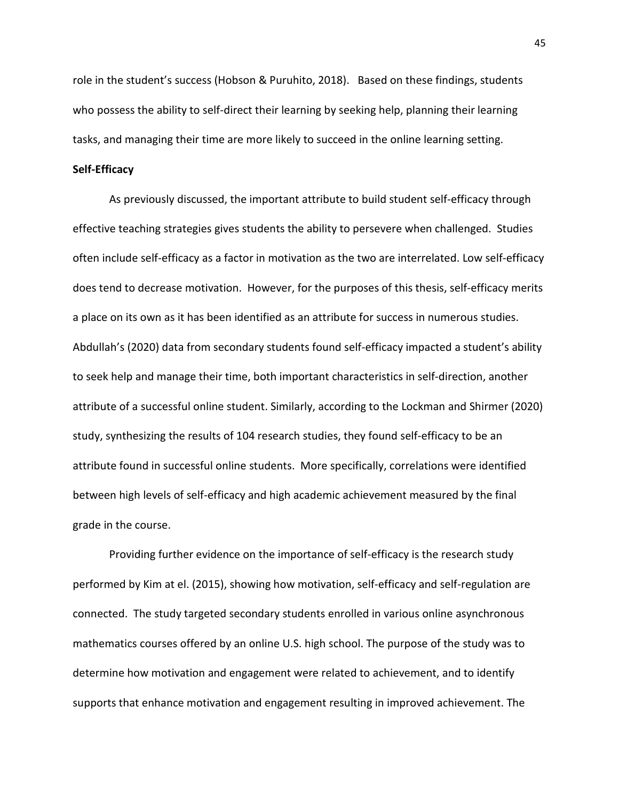role in the student's success (Hobson & Puruhito, 2018). Based on these findings, students who possess the ability to self-direct their learning by seeking help, planning their learning tasks, and managing their time are more likely to succeed in the online learning setting.

## **Self-Efficacy**

As previously discussed, the important attribute to build student self-efficacy through effective teaching strategies gives students the ability to persevere when challenged. Studies often include self-efficacy as a factor in motivation as the two are interrelated. Low self-efficacy does tend to decrease motivation. However, for the purposes of this thesis, self-efficacy merits a place on its own as it has been identified as an attribute for success in numerous studies. Abdullah's (2020) data from secondary students found self-efficacy impacted a student's ability to seek help and manage their time, both important characteristics in self-direction, another attribute of a successful online student. Similarly, according to the Lockman and Shirmer (2020) study, synthesizing the results of 104 research studies, they found self-efficacy to be an attribute found in successful online students. More specifically, correlations were identified between high levels of self-efficacy and high academic achievement measured by the final grade in the course.

Providing further evidence on the importance of self-efficacy is the research study performed by Kim at el. (2015), showing how motivation, self-efficacy and self-regulation are connected. The study targeted secondary students enrolled in various online asynchronous mathematics courses offered by an online U.S. high school. The purpose of the study was to determine how motivation and engagement were related to achievement, and to identify supports that enhance motivation and engagement resulting in improved achievement. The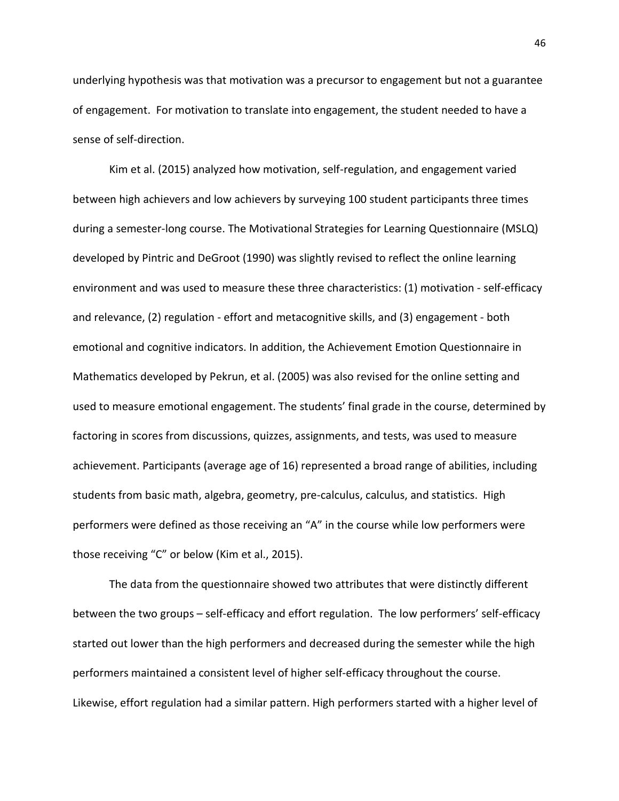underlying hypothesis was that motivation was a precursor to engagement but not a guarantee of engagement. For motivation to translate into engagement, the student needed to have a sense of self-direction.

Kim et al. (2015) analyzed how motivation, self-regulation, and engagement varied between high achievers and low achievers by surveying 100 student participants three times during a semester-long course. The Motivational Strategies for Learning Questionnaire (MSLQ) developed by Pintric and DeGroot (1990) was slightly revised to reflect the online learning environment and was used to measure these three characteristics: (1) motivation - self-efficacy and relevance, (2) regulation - effort and metacognitive skills, and (3) engagement - both emotional and cognitive indicators. In addition, the Achievement Emotion Questionnaire in Mathematics developed by Pekrun, et al. (2005) was also revised for the online setting and used to measure emotional engagement. The students' final grade in the course, determined by factoring in scores from discussions, quizzes, assignments, and tests, was used to measure achievement. Participants (average age of 16) represented a broad range of abilities, including students from basic math, algebra, geometry, pre-calculus, calculus, and statistics. High performers were defined as those receiving an "A" in the course while low performers were those receiving "C" or below (Kim et al., 2015).

The data from the questionnaire showed two attributes that were distinctly different between the two groups – self-efficacy and effort regulation. The low performers' self-efficacy started out lower than the high performers and decreased during the semester while the high performers maintained a consistent level of higher self-efficacy throughout the course. Likewise, effort regulation had a similar pattern. High performers started with a higher level of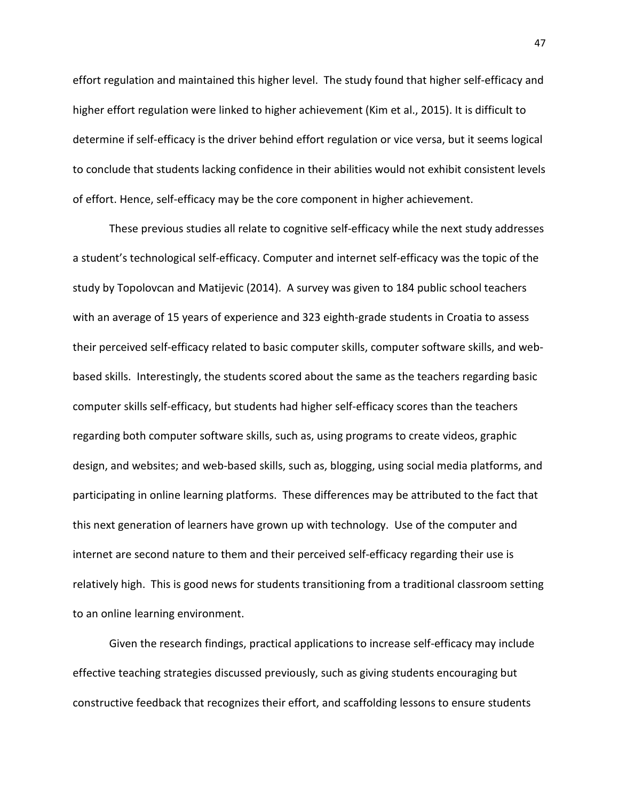effort regulation and maintained this higher level. The study found that higher self-efficacy and higher effort regulation were linked to higher achievement (Kim et al., 2015). It is difficult to determine if self-efficacy is the driver behind effort regulation or vice versa, but it seems logical to conclude that students lacking confidence in their abilities would not exhibit consistent levels of effort. Hence, self-efficacy may be the core component in higher achievement.

These previous studies all relate to cognitive self-efficacy while the next study addresses a student's technological self-efficacy. Computer and internet self-efficacy was the topic of the study by Topolovcan and Matijevic (2014). A survey was given to 184 public school teachers with an average of 15 years of experience and 323 eighth-grade students in Croatia to assess their perceived self-efficacy related to basic computer skills, computer software skills, and webbased skills. Interestingly, the students scored about the same as the teachers regarding basic computer skills self-efficacy, but students had higher self-efficacy scores than the teachers regarding both computer software skills, such as, using programs to create videos, graphic design, and websites; and web-based skills, such as, blogging, using social media platforms, and participating in online learning platforms. These differences may be attributed to the fact that this next generation of learners have grown up with technology. Use of the computer and internet are second nature to them and their perceived self-efficacy regarding their use is relatively high. This is good news for students transitioning from a traditional classroom setting to an online learning environment.

Given the research findings, practical applications to increase self-efficacy may include effective teaching strategies discussed previously, such as giving students encouraging but constructive feedback that recognizes their effort, and scaffolding lessons to ensure students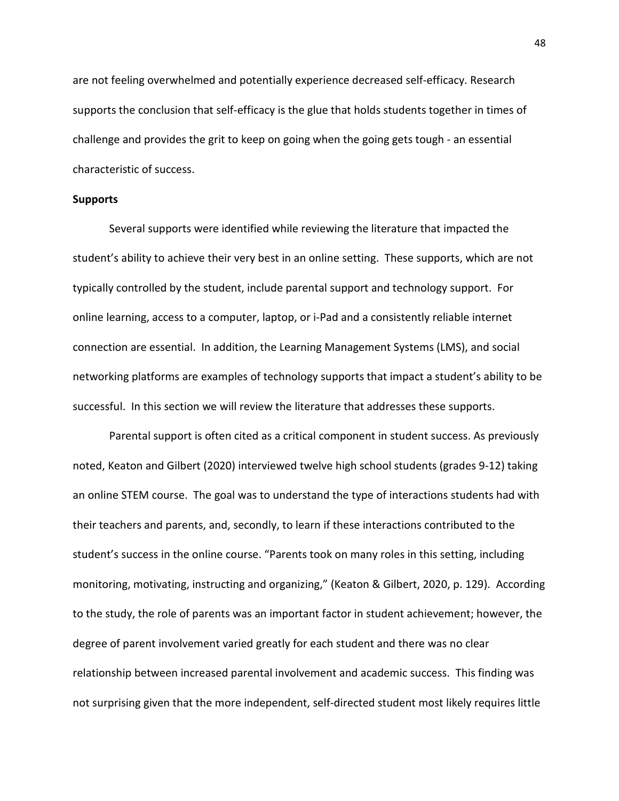are not feeling overwhelmed and potentially experience decreased self-efficacy. Research supports the conclusion that self-efficacy is the glue that holds students together in times of challenge and provides the grit to keep on going when the going gets tough - an essential characteristic of success.

## **Supports**

Several supports were identified while reviewing the literature that impacted the student's ability to achieve their very best in an online setting. These supports, which are not typically controlled by the student, include parental support and technology support. For online learning, access to a computer, laptop, or i-Pad and a consistently reliable internet connection are essential. In addition, the Learning Management Systems (LMS), and social networking platforms are examples of technology supports that impact a student's ability to be successful. In this section we will review the literature that addresses these supports.

Parental support is often cited as a critical component in student success. As previously noted, Keaton and Gilbert (2020) interviewed twelve high school students (grades 9-12) taking an online STEM course. The goal was to understand the type of interactions students had with their teachers and parents, and, secondly, to learn if these interactions contributed to the student's success in the online course. "Parents took on many roles in this setting, including monitoring, motivating, instructing and organizing," (Keaton & Gilbert, 2020, p. 129). According to the study, the role of parents was an important factor in student achievement; however, the degree of parent involvement varied greatly for each student and there was no clear relationship between increased parental involvement and academic success. This finding was not surprising given that the more independent, self-directed student most likely requires little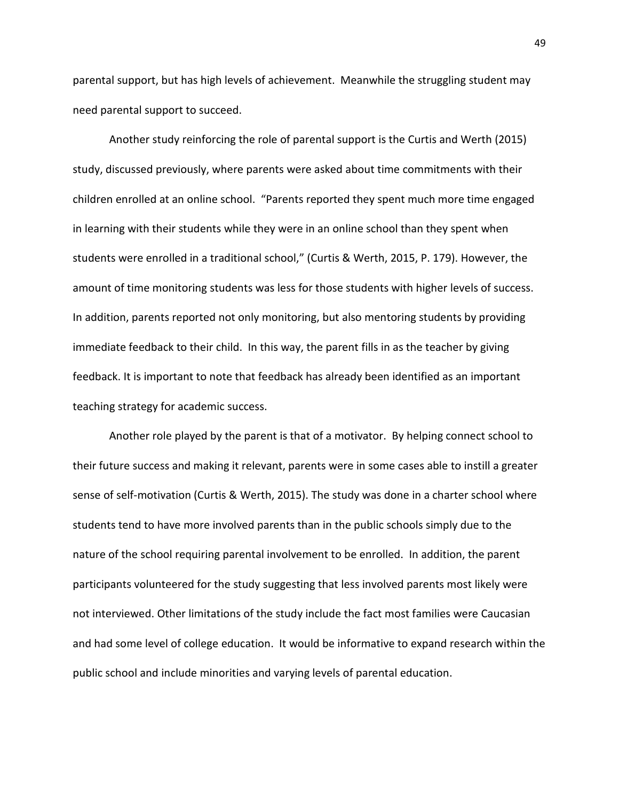parental support, but has high levels of achievement. Meanwhile the struggling student may need parental support to succeed.

Another study reinforcing the role of parental support is the Curtis and Werth (2015) study, discussed previously, where parents were asked about time commitments with their children enrolled at an online school. "Parents reported they spent much more time engaged in learning with their students while they were in an online school than they spent when students were enrolled in a traditional school," (Curtis & Werth, 2015, P. 179). However, the amount of time monitoring students was less for those students with higher levels of success. In addition, parents reported not only monitoring, but also mentoring students by providing immediate feedback to their child. In this way, the parent fills in as the teacher by giving feedback. It is important to note that feedback has already been identified as an important teaching strategy for academic success.

Another role played by the parent is that of a motivator. By helping connect school to their future success and making it relevant, parents were in some cases able to instill a greater sense of self-motivation (Curtis & Werth, 2015). The study was done in a charter school where students tend to have more involved parents than in the public schools simply due to the nature of the school requiring parental involvement to be enrolled. In addition, the parent participants volunteered for the study suggesting that less involved parents most likely were not interviewed. Other limitations of the study include the fact most families were Caucasian and had some level of college education. It would be informative to expand research within the public school and include minorities and varying levels of parental education.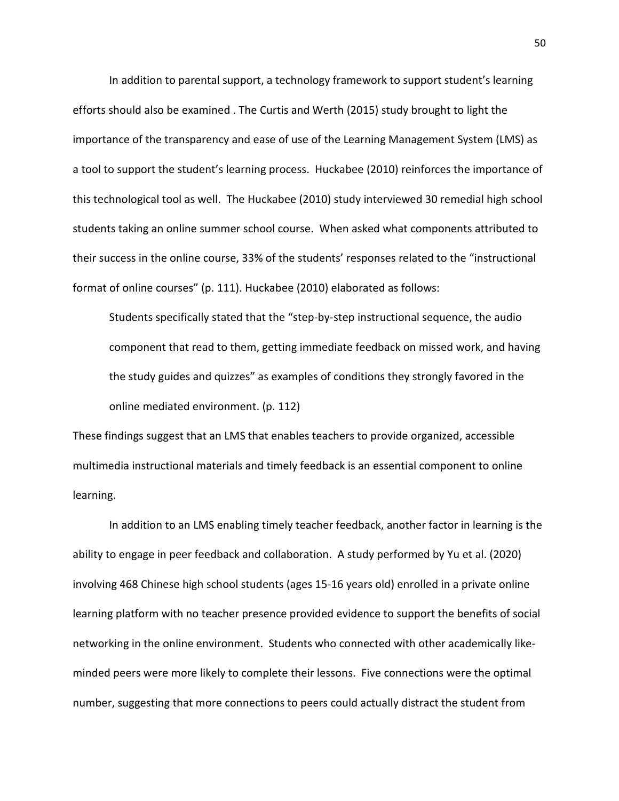In addition to parental support, a technology framework to support student's learning efforts should also be examined . The Curtis and Werth (2015) study brought to light the importance of the transparency and ease of use of the Learning Management System (LMS) as a tool to support the student's learning process. Huckabee (2010) reinforces the importance of this technological tool as well. The Huckabee (2010) study interviewed 30 remedial high school students taking an online summer school course. When asked what components attributed to their success in the online course, 33% of the students' responses related to the "instructional format of online courses" (p. 111). Huckabee (2010) elaborated as follows:

Students specifically stated that the "step-by-step instructional sequence, the audio component that read to them, getting immediate feedback on missed work, and having the study guides and quizzes" as examples of conditions they strongly favored in the online mediated environment. (p. 112)

These findings suggest that an LMS that enables teachers to provide organized, accessible multimedia instructional materials and timely feedback is an essential component to online learning.

In addition to an LMS enabling timely teacher feedback, another factor in learning is the ability to engage in peer feedback and collaboration. A study performed by Yu et al. (2020) involving 468 Chinese high school students (ages 15-16 years old) enrolled in a private online learning platform with no teacher presence provided evidence to support the benefits of social networking in the online environment. Students who connected with other academically likeminded peers were more likely to complete their lessons. Five connections were the optimal number, suggesting that more connections to peers could actually distract the student from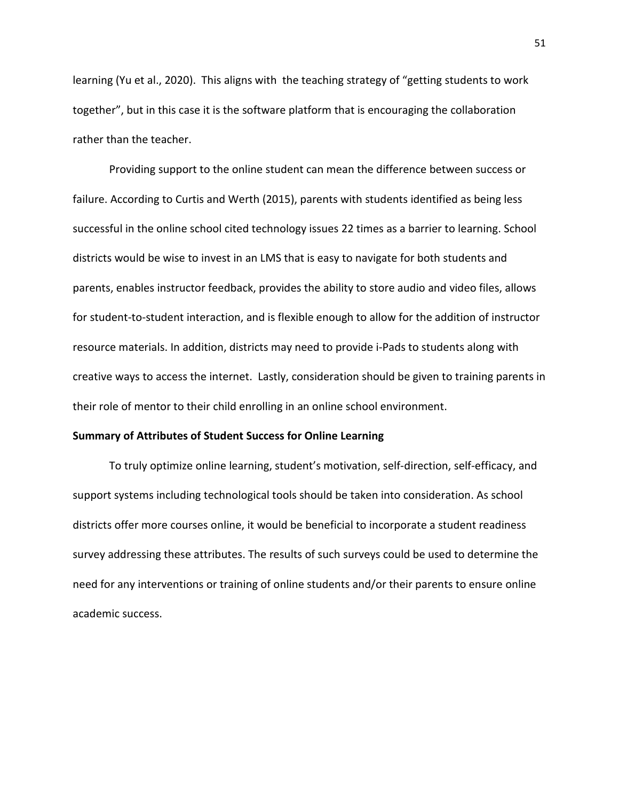learning (Yu et al., 2020). This aligns with the teaching strategy of "getting students to work together", but in this case it is the software platform that is encouraging the collaboration rather than the teacher.

Providing support to the online student can mean the difference between success or failure. According to Curtis and Werth (2015), parents with students identified as being less successful in the online school cited technology issues 22 times as a barrier to learning. School districts would be wise to invest in an LMS that is easy to navigate for both students and parents, enables instructor feedback, provides the ability to store audio and video files, allows for student-to-student interaction, and is flexible enough to allow for the addition of instructor resource materials. In addition, districts may need to provide i-Pads to students along with creative ways to access the internet. Lastly, consideration should be given to training parents in their role of mentor to their child enrolling in an online school environment.

# **Summary of Attributes of Student Success for Online Learning**

To truly optimize online learning, student's motivation, self-direction, self-efficacy, and support systems including technological tools should be taken into consideration. As school districts offer more courses online, it would be beneficial to incorporate a student readiness survey addressing these attributes. The results of such surveys could be used to determine the need for any interventions or training of online students and/or their parents to ensure online academic success.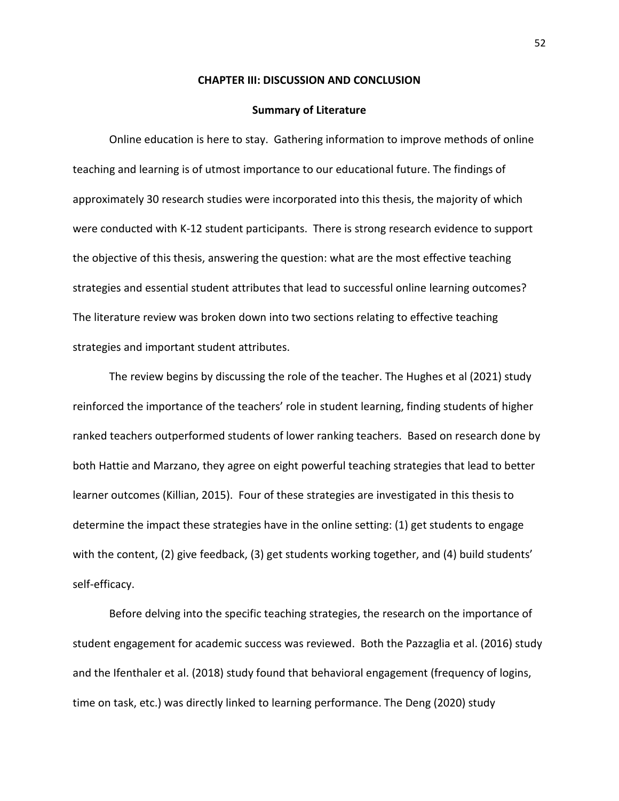### **CHAPTER III: DISCUSSION AND CONCLUSION**

#### **Summary of Literature**

Online education is here to stay. Gathering information to improve methods of online teaching and learning is of utmost importance to our educational future. The findings of approximately 30 research studies were incorporated into this thesis, the majority of which were conducted with K-12 student participants. There is strong research evidence to support the objective of this thesis, answering the question: what are the most effective teaching strategies and essential student attributes that lead to successful online learning outcomes? The literature review was broken down into two sections relating to effective teaching strategies and important student attributes.

The review begins by discussing the role of the teacher. The Hughes et al (2021) study reinforced the importance of the teachers' role in student learning, finding students of higher ranked teachers outperformed students of lower ranking teachers. Based on research done by both Hattie and Marzano, they agree on eight powerful teaching strategies that lead to better learner outcomes (Killian, 2015). Four of these strategies are investigated in this thesis to determine the impact these strategies have in the online setting: (1) get students to engage with the content, (2) give feedback, (3) get students working together, and (4) build students' self-efficacy.

Before delving into the specific teaching strategies, the research on the importance of student engagement for academic success was reviewed. Both the Pazzaglia et al. (2016) study and the Ifenthaler et al. (2018) study found that behavioral engagement (frequency of logins, time on task, etc.) was directly linked to learning performance. The Deng (2020) study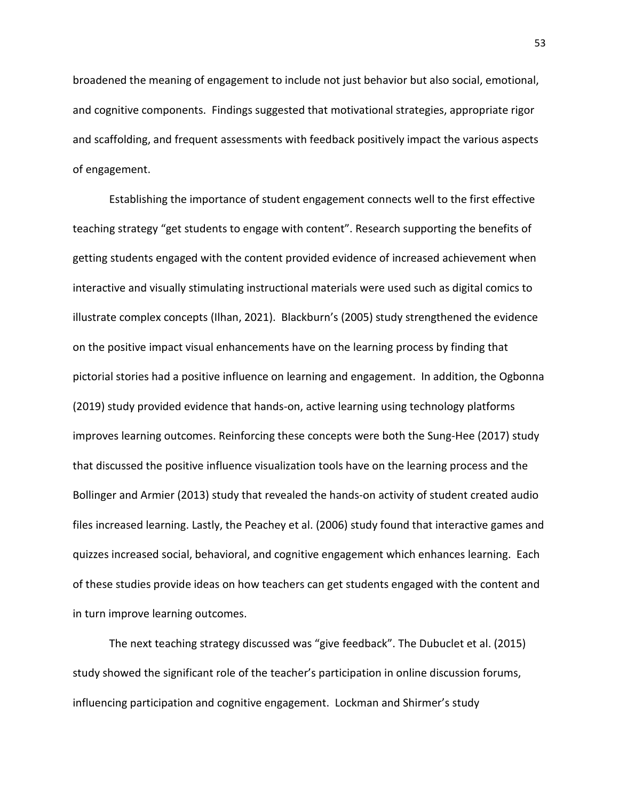broadened the meaning of engagement to include not just behavior but also social, emotional, and cognitive components. Findings suggested that motivational strategies, appropriate rigor and scaffolding, and frequent assessments with feedback positively impact the various aspects of engagement.

Establishing the importance of student engagement connects well to the first effective teaching strategy "get students to engage with content". Research supporting the benefits of getting students engaged with the content provided evidence of increased achievement when interactive and visually stimulating instructional materials were used such as digital comics to illustrate complex concepts (Ilhan, 2021). Blackburn's (2005) study strengthened the evidence on the positive impact visual enhancements have on the learning process by finding that pictorial stories had a positive influence on learning and engagement. In addition, the Ogbonna (2019) study provided evidence that hands-on, active learning using technology platforms improves learning outcomes. Reinforcing these concepts were both the Sung-Hee (2017) study that discussed the positive influence visualization tools have on the learning process and the Bollinger and Armier (2013) study that revealed the hands-on activity of student created audio files increased learning. Lastly, the Peachey et al. (2006) study found that interactive games and quizzes increased social, behavioral, and cognitive engagement which enhances learning. Each of these studies provide ideas on how teachers can get students engaged with the content and in turn improve learning outcomes.

The next teaching strategy discussed was "give feedback". The Dubuclet et al. (2015) study showed the significant role of the teacher's participation in online discussion forums, influencing participation and cognitive engagement. Lockman and Shirmer's study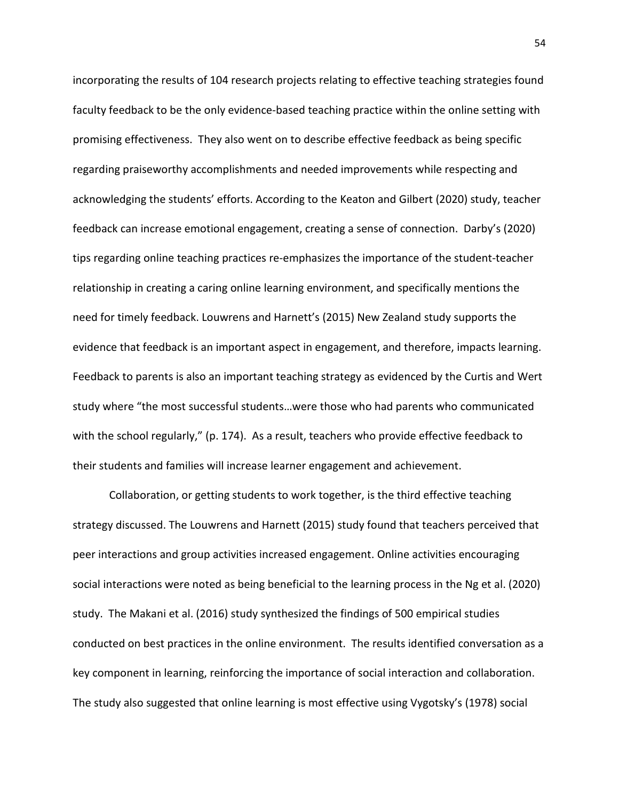incorporating the results of 104 research projects relating to effective teaching strategies found faculty feedback to be the only evidence-based teaching practice within the online setting with promising effectiveness. They also went on to describe effective feedback as being specific regarding praiseworthy accomplishments and needed improvements while respecting and acknowledging the students' efforts. According to the Keaton and Gilbert (2020) study, teacher feedback can increase emotional engagement, creating a sense of connection. Darby's (2020) tips regarding online teaching practices re-emphasizes the importance of the student-teacher relationship in creating a caring online learning environment, and specifically mentions the need for timely feedback. Louwrens and Harnett's (2015) New Zealand study supports the evidence that feedback is an important aspect in engagement, and therefore, impacts learning. Feedback to parents is also an important teaching strategy as evidenced by the Curtis and Wert study where "the most successful students…were those who had parents who communicated with the school regularly," (p. 174). As a result, teachers who provide effective feedback to their students and families will increase learner engagement and achievement.

Collaboration, or getting students to work together, is the third effective teaching strategy discussed. The Louwrens and Harnett (2015) study found that teachers perceived that peer interactions and group activities increased engagement. Online activities encouraging social interactions were noted as being beneficial to the learning process in the Ng et al. (2020) study. The Makani et al. (2016) study synthesized the findings of 500 empirical studies conducted on best practices in the online environment. The results identified conversation as a key component in learning, reinforcing the importance of social interaction and collaboration. The study also suggested that online learning is most effective using Vygotsky's (1978) social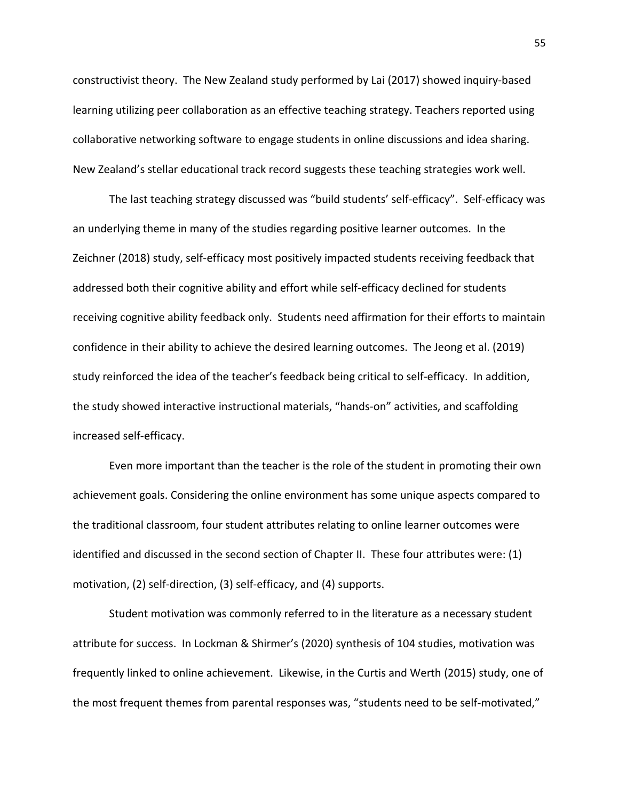constructivist theory. The New Zealand study performed by Lai (2017) showed inquiry-based learning utilizing peer collaboration as an effective teaching strategy. Teachers reported using collaborative networking software to engage students in online discussions and idea sharing. New Zealand's stellar educational track record suggests these teaching strategies work well.

The last teaching strategy discussed was "build students' self-efficacy". Self-efficacy was an underlying theme in many of the studies regarding positive learner outcomes. In the Zeichner (2018) study, self-efficacy most positively impacted students receiving feedback that addressed both their cognitive ability and effort while self-efficacy declined for students receiving cognitive ability feedback only. Students need affirmation for their efforts to maintain confidence in their ability to achieve the desired learning outcomes. The Jeong et al. (2019) study reinforced the idea of the teacher's feedback being critical to self-efficacy. In addition, the study showed interactive instructional materials, "hands-on" activities, and scaffolding increased self-efficacy.

 Even more important than the teacher is the role of the student in promoting their own achievement goals. Considering the online environment has some unique aspects compared to the traditional classroom, four student attributes relating to online learner outcomes were identified and discussed in the second section of Chapter II. These four attributes were: (1) motivation, (2) self-direction, (3) self-efficacy, and (4) supports.

 Student motivation was commonly referred to in the literature as a necessary student attribute for success. In Lockman & Shirmer's (2020) synthesis of 104 studies, motivation was frequently linked to online achievement. Likewise, in the Curtis and Werth (2015) study, one of the most frequent themes from parental responses was, "students need to be self-motivated,"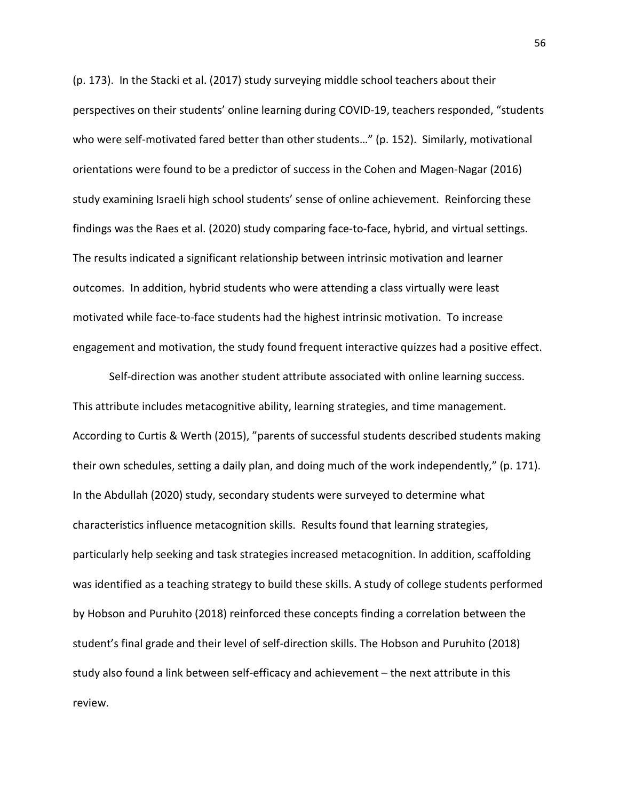(p. 173). In the Stacki et al. (2017) study surveying middle school teachers about their perspectives on their students' online learning during COVID-19, teachers responded, "students who were self-motivated fared better than other students…" (p. 152). Similarly, motivational orientations were found to be a predictor of success in the Cohen and Magen-Nagar (2016) study examining Israeli high school students' sense of online achievement. Reinforcing these findings was the Raes et al. (2020) study comparing face-to-face, hybrid, and virtual settings. The results indicated a significant relationship between intrinsic motivation and learner outcomes. In addition, hybrid students who were attending a class virtually were least motivated while face-to-face students had the highest intrinsic motivation. To increase engagement and motivation, the study found frequent interactive quizzes had a positive effect.

Self-direction was another student attribute associated with online learning success. This attribute includes metacognitive ability, learning strategies, and time management. According to Curtis & Werth (2015), "parents of successful students described students making their own schedules, setting a daily plan, and doing much of the work independently," (p. 171). In the Abdullah (2020) study, secondary students were surveyed to determine what characteristics influence metacognition skills. Results found that learning strategies, particularly help seeking and task strategies increased metacognition. In addition, scaffolding was identified as a teaching strategy to build these skills. A study of college students performed by Hobson and Puruhito (2018) reinforced these concepts finding a correlation between the student's final grade and their level of self-direction skills. The Hobson and Puruhito (2018) study also found a link between self-efficacy and achievement – the next attribute in this review.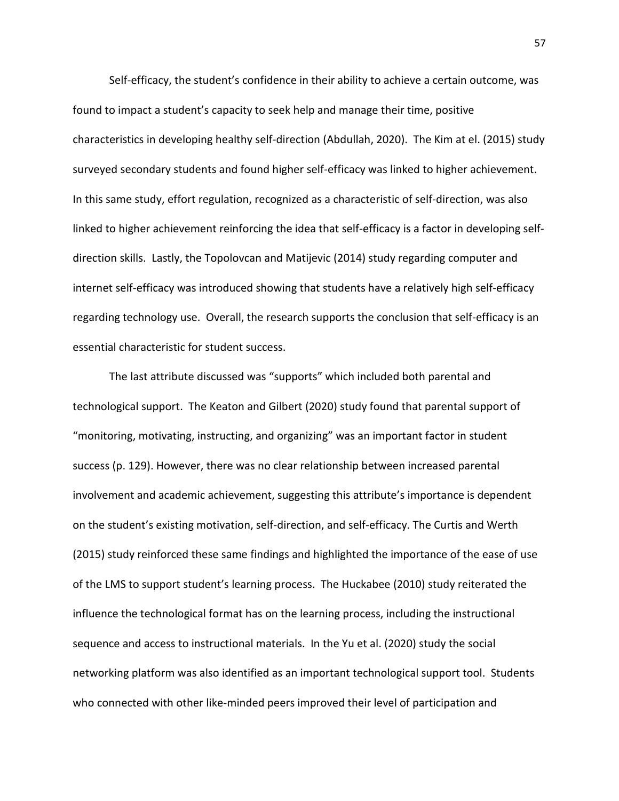Self-efficacy, the student's confidence in their ability to achieve a certain outcome, was found to impact a student's capacity to seek help and manage their time, positive characteristics in developing healthy self-direction (Abdullah, 2020). The Kim at el. (2015) study surveyed secondary students and found higher self-efficacy was linked to higher achievement. In this same study, effort regulation, recognized as a characteristic of self-direction, was also linked to higher achievement reinforcing the idea that self-efficacy is a factor in developing selfdirection skills. Lastly, the Topolovcan and Matijevic (2014) study regarding computer and internet self-efficacy was introduced showing that students have a relatively high self-efficacy regarding technology use. Overall, the research supports the conclusion that self-efficacy is an essential characteristic for student success.

 The last attribute discussed was "supports" which included both parental and technological support. The Keaton and Gilbert (2020) study found that parental support of "monitoring, motivating, instructing, and organizing" was an important factor in student success (p. 129). However, there was no clear relationship between increased parental involvement and academic achievement, suggesting this attribute's importance is dependent on the student's existing motivation, self-direction, and self-efficacy. The Curtis and Werth (2015) study reinforced these same findings and highlighted the importance of the ease of use of the LMS to support student's learning process. The Huckabee (2010) study reiterated the influence the technological format has on the learning process, including the instructional sequence and access to instructional materials. In the Yu et al. (2020) study the social networking platform was also identified as an important technological support tool. Students who connected with other like-minded peers improved their level of participation and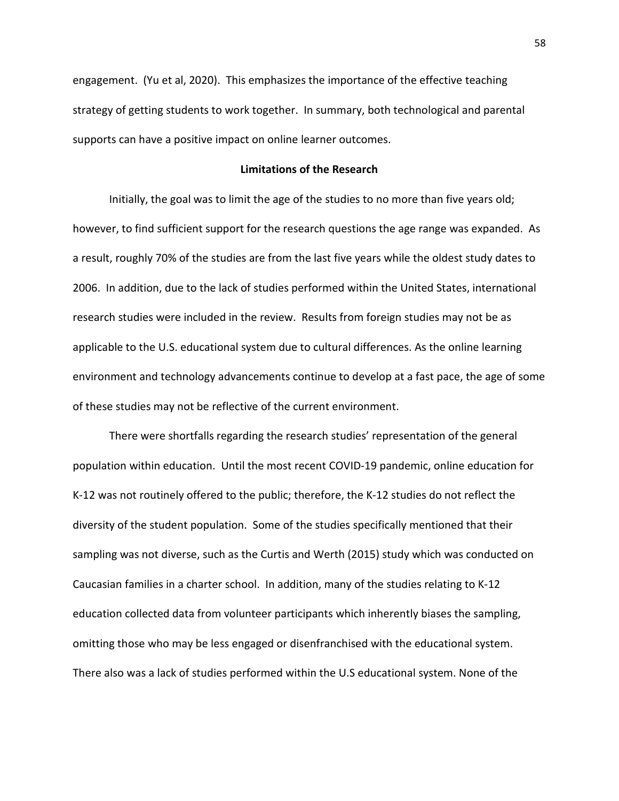engagement. (Yu et al, 2020). This emphasizes the importance of the effective teaching strategy of getting students to work together. In summary, both technological and parental supports can have a positive impact on online learner outcomes.

# **Limitations of the Research**

Initially, the goal was to limit the age of the studies to no more than five years old; however, to find sufficient support for the research questions the age range was expanded. As a result, roughly 70% of the studies are from the last five years while the oldest study dates to 2006. In addition, due to the lack of studies performed within the United States, international research studies were included in the review. Results from foreign studies may not be as applicable to the U.S. educational system due to cultural differences. As the online learning environment and technology advancements continue to develop at a fast pace, the age of some of these studies may not be reflective of the current environment.

There were shortfalls regarding the research studies' representation of the general population within education. Until the most recent COVID-19 pandemic, online education for K-12 was not routinely offered to the public; therefore, the K-12 studies do not reflect the diversity of the student population. Some of the studies specifically mentioned that their sampling was not diverse, such as the Curtis and Werth (2015) study which was conducted on Caucasian families in a charter school. In addition, many of the studies relating to K-12 education collected data from volunteer participants which inherently biases the sampling, omitting those who may be less engaged or disenfranchised with the educational system. There also was a lack of studies performed within the U.S educational system. None of the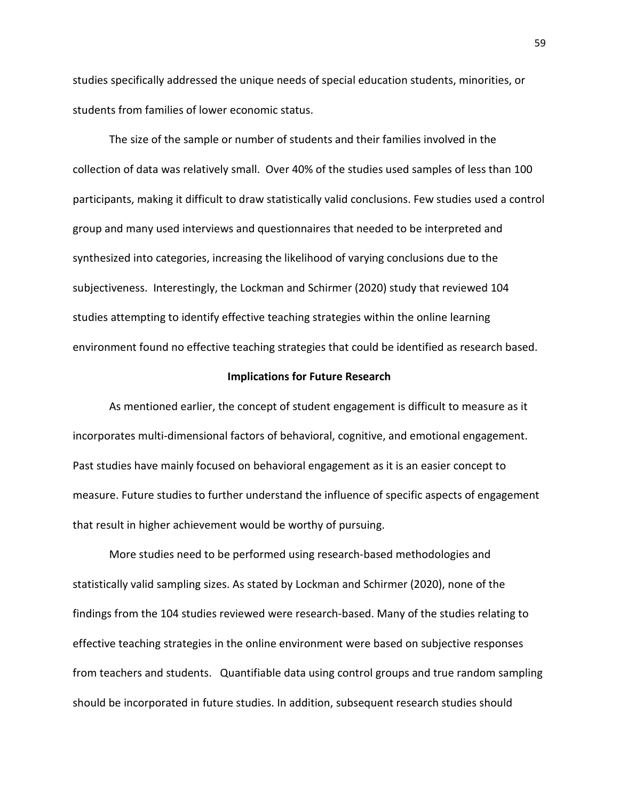studies specifically addressed the unique needs of special education students, minorities, or students from families of lower economic status.

The size of the sample or number of students and their families involved in the collection of data was relatively small. Over 40% of the studies used samples of less than 100 participants, making it difficult to draw statistically valid conclusions. Few studies used a control group and many used interviews and questionnaires that needed to be interpreted and synthesized into categories, increasing the likelihood of varying conclusions due to the subjectiveness. Interestingly, the Lockman and Schirmer (2020) study that reviewed 104 studies attempting to identify effective teaching strategies within the online learning environment found no effective teaching strategies that could be identified as research based.

#### **Implications for Future Research**

As mentioned earlier, the concept of student engagement is difficult to measure as it incorporates multi-dimensional factors of behavioral, cognitive, and emotional engagement. Past studies have mainly focused on behavioral engagement as it is an easier concept to measure. Future studies to further understand the influence of specific aspects of engagement that result in higher achievement would be worthy of pursuing.

More studies need to be performed using research-based methodologies and statistically valid sampling sizes. As stated by Lockman and Schirmer (2020), none of the findings from the 104 studies reviewed were research-based. Many of the studies relating to effective teaching strategies in the online environment were based on subjective responses from teachers and students. Quantifiable data using control groups and true random sampling should be incorporated in future studies. In addition, subsequent research studies should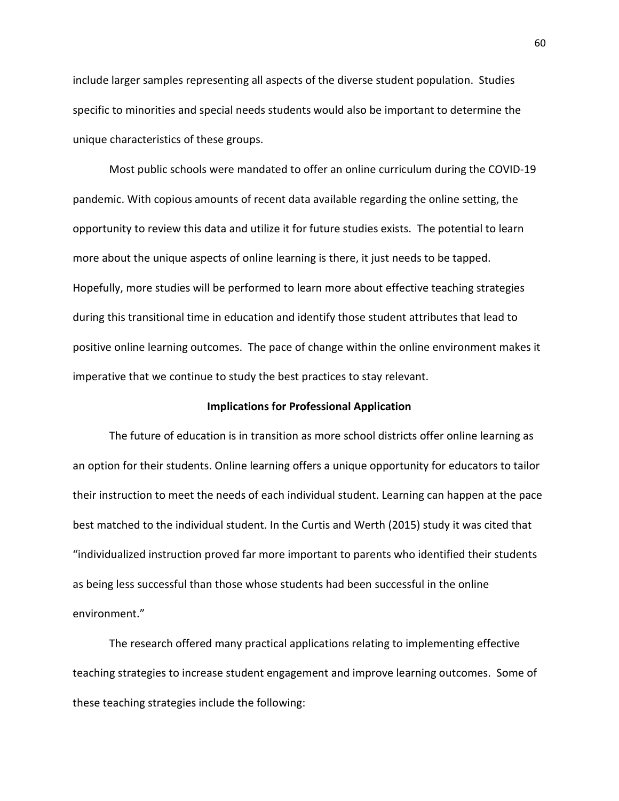include larger samples representing all aspects of the diverse student population. Studies specific to minorities and special needs students would also be important to determine the unique characteristics of these groups.

Most public schools were mandated to offer an online curriculum during the COVID-19 pandemic. With copious amounts of recent data available regarding the online setting, the opportunity to review this data and utilize it for future studies exists. The potential to learn more about the unique aspects of online learning is there, it just needs to be tapped. Hopefully, more studies will be performed to learn more about effective teaching strategies during this transitional time in education and identify those student attributes that lead to positive online learning outcomes. The pace of change within the online environment makes it imperative that we continue to study the best practices to stay relevant.

# **Implications for Professional Application**

The future of education is in transition as more school districts offer online learning as an option for their students. Online learning offers a unique opportunity for educators to tailor their instruction to meet the needs of each individual student. Learning can happen at the pace best matched to the individual student. In the Curtis and Werth (2015) study it was cited that "individualized instruction proved far more important to parents who identified their students as being less successful than those whose students had been successful in the online environment."

The research offered many practical applications relating to implementing effective teaching strategies to increase student engagement and improve learning outcomes. Some of these teaching strategies include the following: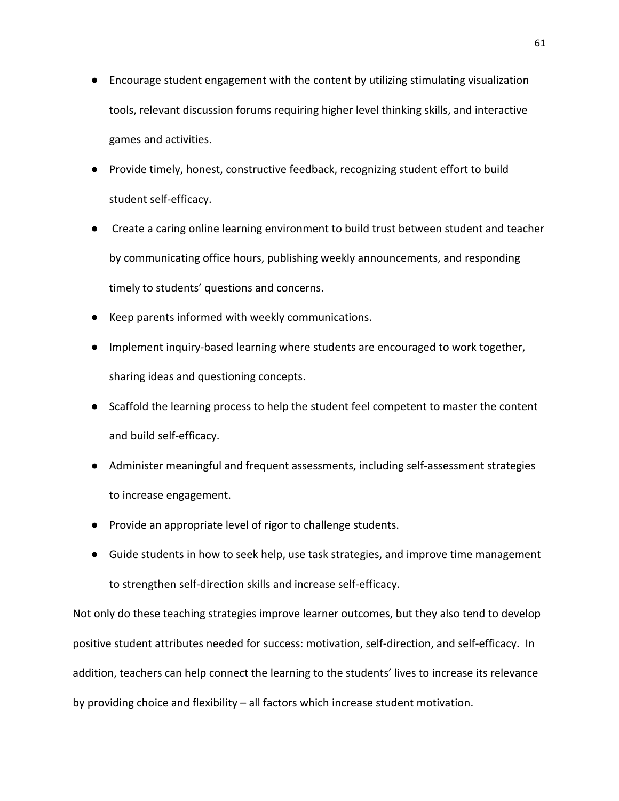- Encourage student engagement with the content by utilizing stimulating visualization tools, relevant discussion forums requiring higher level thinking skills, and interactive games and activities.
- Provide timely, honest, constructive feedback, recognizing student effort to build student self-efficacy.
- Create a caring online learning environment to build trust between student and teacher by communicating office hours, publishing weekly announcements, and responding timely to students' questions and concerns.
- Keep parents informed with weekly communications.
- Implement inquiry-based learning where students are encouraged to work together, sharing ideas and questioning concepts.
- Scaffold the learning process to help the student feel competent to master the content and build self-efficacy.
- Administer meaningful and frequent assessments, including self-assessment strategies to increase engagement.
- Provide an appropriate level of rigor to challenge students.
- Guide students in how to seek help, use task strategies, and improve time management to strengthen self-direction skills and increase self-efficacy.

Not only do these teaching strategies improve learner outcomes, but they also tend to develop positive student attributes needed for success: motivation, self-direction, and self-efficacy. In addition, teachers can help connect the learning to the students' lives to increase its relevance by providing choice and flexibility – all factors which increase student motivation.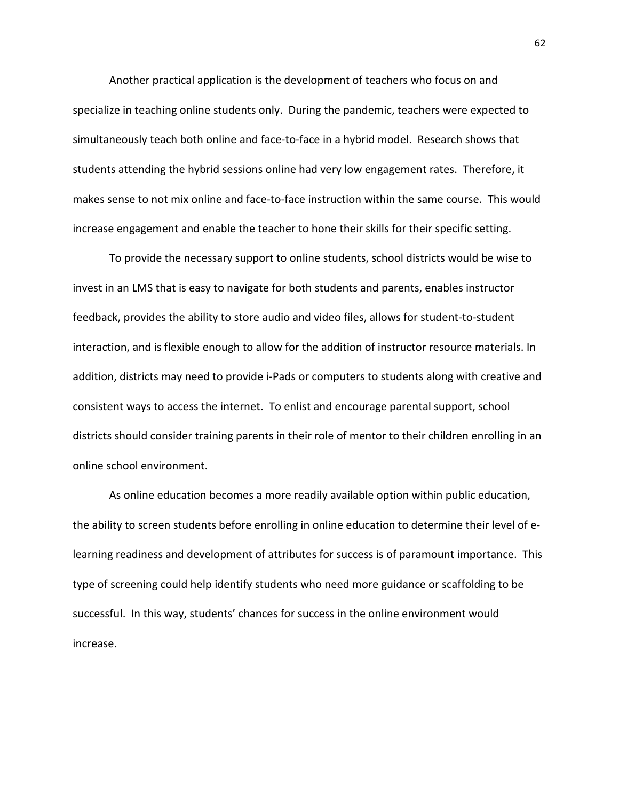Another practical application is the development of teachers who focus on and specialize in teaching online students only. During the pandemic, teachers were expected to simultaneously teach both online and face-to-face in a hybrid model. Research shows that students attending the hybrid sessions online had very low engagement rates. Therefore, it makes sense to not mix online and face-to-face instruction within the same course. This would increase engagement and enable the teacher to hone their skills for their specific setting.

To provide the necessary support to online students, school districts would be wise to invest in an LMS that is easy to navigate for both students and parents, enables instructor feedback, provides the ability to store audio and video files, allows for student-to-student interaction, and is flexible enough to allow for the addition of instructor resource materials. In addition, districts may need to provide i-Pads or computers to students along with creative and consistent ways to access the internet. To enlist and encourage parental support, school districts should consider training parents in their role of mentor to their children enrolling in an online school environment.

As online education becomes a more readily available option within public education, the ability to screen students before enrolling in online education to determine their level of elearning readiness and development of attributes for success is of paramount importance. This type of screening could help identify students who need more guidance or scaffolding to be successful. In this way, students' chances for success in the online environment would increase.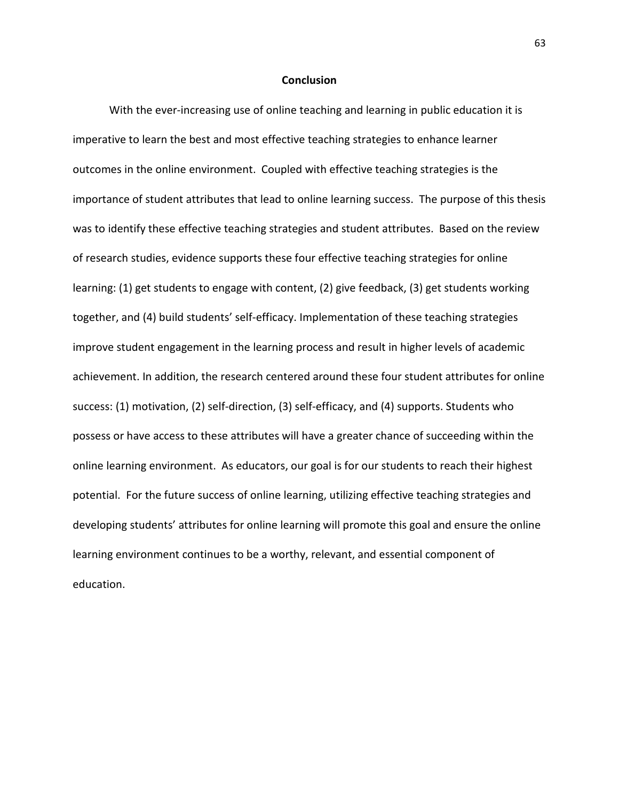## **Conclusion**

With the ever-increasing use of online teaching and learning in public education it is imperative to learn the best and most effective teaching strategies to enhance learner outcomes in the online environment. Coupled with effective teaching strategies is the importance of student attributes that lead to online learning success. The purpose of this thesis was to identify these effective teaching strategies and student attributes. Based on the review of research studies, evidence supports these four effective teaching strategies for online learning: (1) get students to engage with content, (2) give feedback, (3) get students working together, and (4) build students' self-efficacy. Implementation of these teaching strategies improve student engagement in the learning process and result in higher levels of academic achievement. In addition, the research centered around these four student attributes for online success: (1) motivation, (2) self-direction, (3) self-efficacy, and (4) supports. Students who possess or have access to these attributes will have a greater chance of succeeding within the online learning environment. As educators, our goal is for our students to reach their highest potential. For the future success of online learning, utilizing effective teaching strategies and developing students' attributes for online learning will promote this goal and ensure the online learning environment continues to be a worthy, relevant, and essential component of education.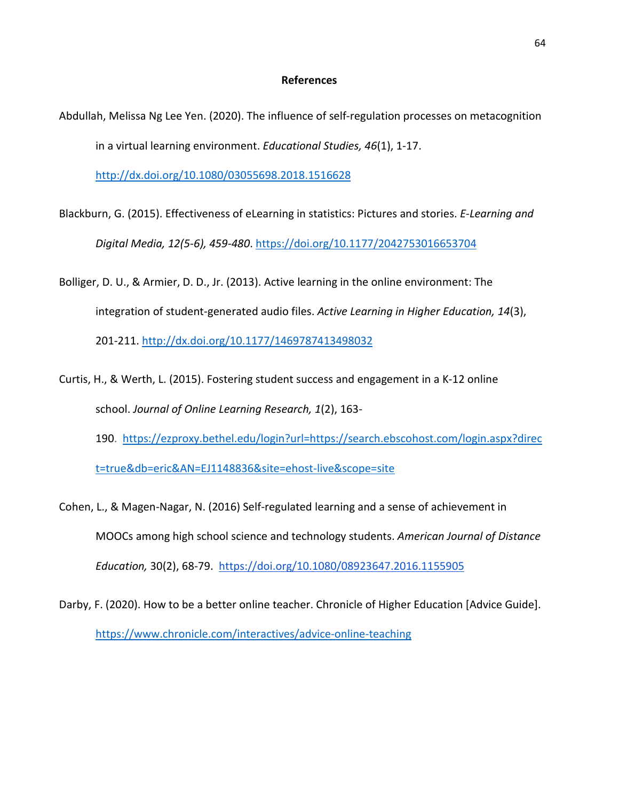## **References**

Abdullah, Melissa Ng Lee Yen. (2020). The influence of self-regulation processes on metacognition in a virtual learning environment. *Educational Studies, 46*(1), 1-17.

<http://dx.doi.org/10.1080/03055698.2018.1516628>

- Blackburn, G. (2015). Effectiveness of eLearning in statistics: Pictures and stories. *E-Learning and Digital Media, 12(5-6), 459-480*.<https://doi.org/10.1177/2042753016653704>
- Bolliger, D. U., & Armier, D. D., Jr. (2013). Active learning in the online environment: The integration of student-generated audio files. *Active Learning in Higher Education, 14*(3), 201-211. <http://dx.doi.org/10.1177/1469787413498032>
- Curtis, H., & Werth, L. (2015). Fostering student success and engagement in a K-12 online school. *Journal of Online Learning Research, 1*(2), 163- 190. [https://ezproxy.bethel.edu/login?url=https://search.ebscohost.com/login.aspx?direc](https://ezproxy.bethel.edu/login?url=https://search.ebscohost.com/login.aspx?direct=true&db=eric&AN=EJ1148836&site=ehost-live&scope=site)

[t=true&db=eric&AN=EJ1148836&site=ehost-live&scope=site](https://ezproxy.bethel.edu/login?url=https://search.ebscohost.com/login.aspx?direct=true&db=eric&AN=EJ1148836&site=ehost-live&scope=site)

- Cohen, L., & Magen-Nagar, N. (2016) Self-regulated learning and a sense of achievement in MOOCs among high school science and technology students. *American Journal of Distance Education,* 30(2), 68-79. <https://doi.org/10.1080/08923647.2016.1155905>
- Darby, F. (2020). How to be a better online teacher. Chronicle of Higher Education [Advice Guide]. <https://www.chronicle.com/interactives/advice-online-teaching>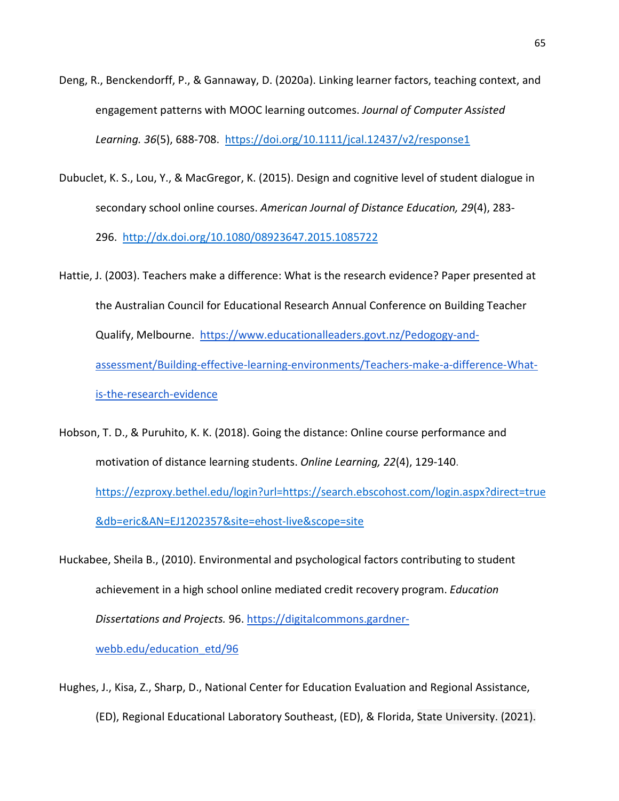- Deng, R., Benckendorff, P., & Gannaway, D. (2020a). Linking learner factors, teaching context, and engagement patterns with MOOC learning outcomes. *Journal of Computer Assisted Learning. 36*(5), 688-708. <https://doi.org/10.1111/jcal.12437/v2/response1>
- Dubuclet, K. S., Lou, Y., & MacGregor, K. (2015). Design and cognitive level of student dialogue in secondary school online courses. *American Journal of Distance Education, 29*(4), 283- 296. <http://dx.doi.org/10.1080/08923647.2015.1085722>
- Hattie, J. (2003). Teachers make a difference: What is the research evidence? Paper presented at the Australian Council for Educational Research Annual Conference on Building Teacher Qualify, Melbourne. [https://www.educationalleaders.govt.nz/Pedogogy-and](https://www.educationalleaders.govt.nz/Pedogogy-and-assessment/Building-effective-learning-environments/Teachers-make-a-difference-What-is-the-research-evidence)[assessment/Building-effective-learning-environments/Teachers-make-a-difference-What](https://www.educationalleaders.govt.nz/Pedogogy-and-assessment/Building-effective-learning-environments/Teachers-make-a-difference-What-is-the-research-evidence)[is-the-research-evidence](https://www.educationalleaders.govt.nz/Pedogogy-and-assessment/Building-effective-learning-environments/Teachers-make-a-difference-What-is-the-research-evidence)
- Hobson, T. D., & Puruhito, K. K. (2018). Going the distance: Online course performance and motivation of distance learning students. *Online Learning, 22*(4), 129-140. [https://ezproxy.bethel.edu/login?url=https://search.ebscohost.com/login.aspx?direct=true](https://ezproxy.bethel.edu/login?url=https://search.ebscohost.com/login.aspx?direct=true&db=eric&AN=EJ1202357&site=ehost-live&scope=site) [&db=eric&AN=EJ1202357&site=ehost-live&scope=site](https://ezproxy.bethel.edu/login?url=https://search.ebscohost.com/login.aspx?direct=true&db=eric&AN=EJ1202357&site=ehost-live&scope=site)
- Huckabee, Sheila B., (2010). Environmental and psychological factors contributing to student achievement in a high school online mediated credit recovery program. *Education Dissertations and Projects.* 96. [https://digitalcommons.gardner](https://digitalcommons.gardner-webb.edu/education_etd/96)[webb.edu/education\\_etd/96](https://digitalcommons.gardner-webb.edu/education_etd/96)
- Hughes, J., Kisa, Z., Sharp, D., National Center for Education Evaluation and Regional Assistance, (ED), Regional Educational Laboratory Southeast, (ED), & Florida, State University. (2021).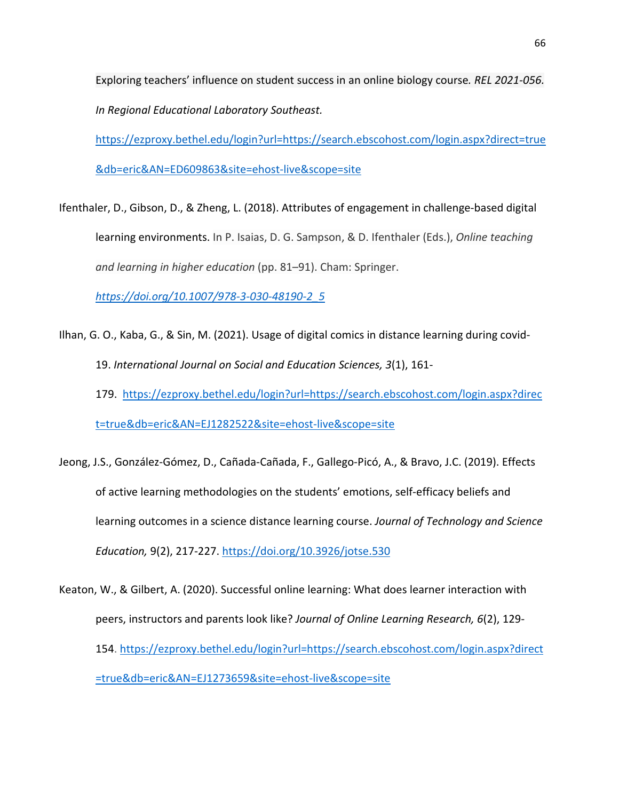Exploring teachers' influence on student success in an online biology course*. REL 2021-056. In Regional Educational Laboratory Southeast.* 

[https://ezproxy.bethel.edu/login?url=https://search.ebscohost.com/login.aspx?direct=true](https://ezproxy.bethel.edu/login?url=https://search.ebscohost.com/login.aspx?direct=true&db=eric&AN=ED609863&site=ehost-live&scope=site) [&db=eric&AN=ED609863&site=ehost-live&scope=site](https://ezproxy.bethel.edu/login?url=https://search.ebscohost.com/login.aspx?direct=true&db=eric&AN=ED609863&site=ehost-live&scope=site)

Ifenthaler, D., Gibson, D., & Zheng, L. (2018). Attributes of engagement in challenge-based digital learning environments. In P. Isaias, D. G. Sampson, & D. Ifenthaler (Eds.), *Online teaching and learning in higher education* (pp. 81–91). Cham: Springer.

*[https://doi.org/10.1007/978-3-030-48190-2\\_5](https://doi.org/10.1007/978-3-030-48190-2_5)*

- Ilhan, G. O., Kaba, G., & Sin, M. (2021). Usage of digital comics in distance learning during covid-19. *International Journal on Social and Education Sciences, 3*(1), 161- 179. [https://ezproxy.bethel.edu/login?url=https://search.ebscohost.com/login.aspx?direc](https://ezproxy.bethel.edu/login?url=https://search.ebscohost.com/login.aspx?direct=true&db=eric&AN=EJ1282522&site=ehost-live&scope=site) [t=true&db=eric&AN=EJ1282522&site=ehost-live&scope=site](https://ezproxy.bethel.edu/login?url=https://search.ebscohost.com/login.aspx?direct=true&db=eric&AN=EJ1282522&site=ehost-live&scope=site)
- Jeong, J.S., González-Gómez, D., Cañada-Cañada, F., Gallego-Picó, A., & Bravo, J.C. (2019). Effects of active learning methodologies on the students' emotions, self-efficacy beliefs and learning outcomes in a science distance learning course. *Journal of Technology and Science Education,* 9(2), 217-227[. https://doi.org/10.3926/jotse.530](https://doi.org/10.3926/jotse.530)
- Keaton, W., & Gilbert, A. (2020). Successful online learning: What does learner interaction with peers, instructors and parents look like? *Journal of Online Learning Research, 6*(2), 129- 154. [https://ezproxy.bethel.edu/login?url=https://search.ebscohost.com/login.aspx?direct](https://ezproxy.bethel.edu/login?url=https://search.ebscohost.com/login.aspx?direct=true&db=eric&AN=EJ1273659&site=ehost-live&scope=site) [=true&db=eric&AN=EJ1273659&site=ehost-live&scope=site](https://ezproxy.bethel.edu/login?url=https://search.ebscohost.com/login.aspx?direct=true&db=eric&AN=EJ1273659&site=ehost-live&scope=site)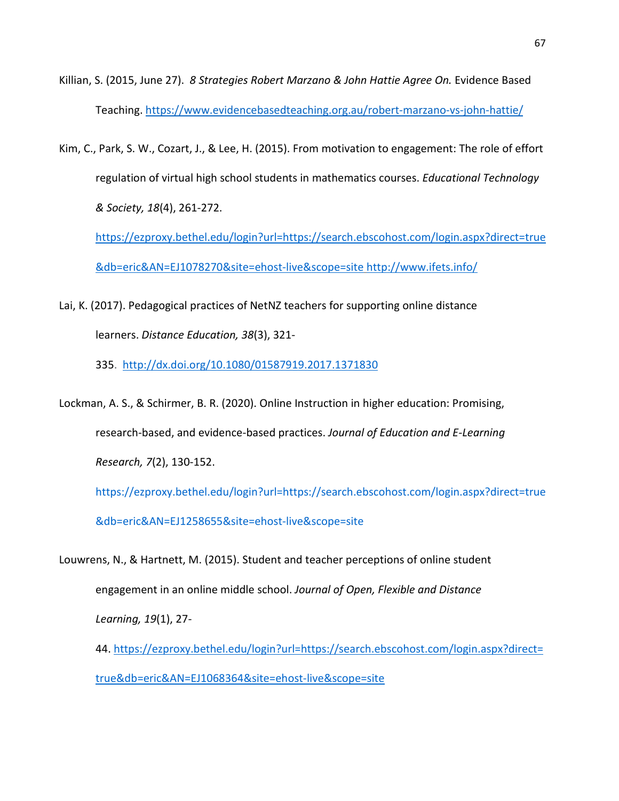- Killian, S. (2015, June 27). *8 Strategies Robert Marzano & John Hattie Agree On.* Evidence Based Teaching.<https://www.evidencebasedteaching.org.au/robert-marzano-vs-john-hattie/>
- Kim, C., Park, S. W., Cozart, J., & Lee, H. (2015). From motivation to engagement: The role of effort regulation of virtual high school students in mathematics courses. *Educational Technology & Society, 18*(4), 261-272.

[https://ezproxy.bethel.edu/login?url=https://search.ebscohost.com/login.aspx?direct=true](https://ezproxy.bethel.edu/login?url=https://search.ebscohost.com/login.aspx?direct=true&db=eric&AN=EJ1078270&site=ehost-live&scope=site) [&db=eric&AN=EJ1078270&site=ehost-live&scope=site](https://ezproxy.bethel.edu/login?url=https://search.ebscohost.com/login.aspx?direct=true&db=eric&AN=EJ1078270&site=ehost-live&scope=site) <http://www.ifets.info/>

- Lai, K. (2017). Pedagogical practices of NetNZ teachers for supporting online distance learners. *Distance Education, 38*(3), 321-
	- 335. <http://dx.doi.org/10.1080/01587919.2017.1371830>
- Lockman, A. S., & Schirmer, B. R. (2020). Online Instruction in higher education: Promising, research-based, and evidence-based practices. *Journal of Education and E-Learning Research, 7*(2), 130-152.

[https://ezproxy.bethel.edu/login?url=https://search.ebscohost.com/login.aspx?direct=true](https://ezproxy.bethel.edu/login?url=https://search.ebscohost.com/login.aspx?direct=true&db=eric&AN=EJ1258655&site=ehost-live&scope=site) [&db=eric&AN=EJ1258655&site=ehost-live&scope=site](https://ezproxy.bethel.edu/login?url=https://search.ebscohost.com/login.aspx?direct=true&db=eric&AN=EJ1258655&site=ehost-live&scope=site)

Louwrens, N., & Hartnett, M. (2015). Student and teacher perceptions of online student engagement in an online middle school. *Journal of Open, Flexible and Distance Learning, 19*(1), 27-

44. [https://ezproxy.bethel.edu/login?url=https://search.ebscohost.com/login.aspx?direct=](https://ezproxy.bethel.edu/login?url=https://search.ebscohost.com/login.aspx?direct=true&db=eric&AN=EJ1068364&site=ehost-live&scope=site) [true&db=eric&AN=EJ1068364&site=ehost-live&scope=site](https://ezproxy.bethel.edu/login?url=https://search.ebscohost.com/login.aspx?direct=true&db=eric&AN=EJ1068364&site=ehost-live&scope=site)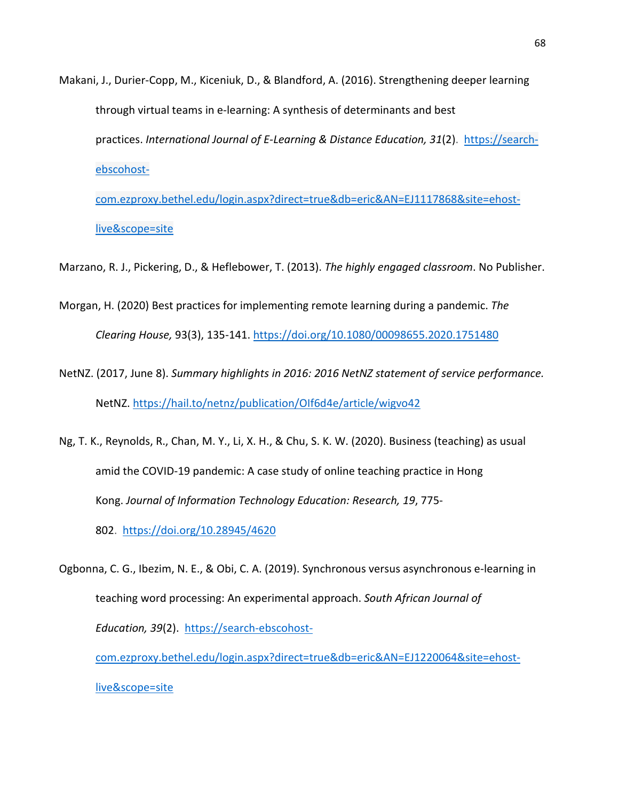Makani, J., Durier-Copp, M., Kiceniuk, D., & Blandford, A. (2016). Strengthening deeper learning through virtual teams in e-learning: A synthesis of determinants and best practices. *International Journal of E-Learning & Distance Education, 31*(2). [https:](https://search.proquest.com/docview/1863562628)//searchebscohostcom.ezproxy.bethel.edu/login.aspx?direct=true&db=eric&AN=EJ1117868&site=ehost-

live&scope=site

Marzano, R. J., Pickering, D., & Heflebower, T. (2013). *The highly engaged classroom*. No Publisher.

- Morgan, H. (2020) Best practices for implementing remote learning during a pandemic. *The Clearing House,* 93(3), 135-141.<https://doi.org/10.1080/00098655.2020.1751480>
- NetNZ. (2017, June 8). *Summary highlights in 2016: 2016 NetNZ statement of service performance.*  NetNZ. <https://hail.to/netnz/publication/OIf6d4e/article/wigvo42>
- Ng, T. K., Reynolds, R., Chan, M. Y., Li, X. H., & Chu, S. K. W. (2020). Business (teaching) as usual amid the COVID-19 pandemic: A case study of online teaching practice in Hong Kong. *Journal of Information Technology Education: Research, 19*, 775-
	- 802. <https://doi.org/10.28945/4620>

Ogbonna, C. G., Ibezim, N. E., & Obi, C. A. (2019). Synchronous versus asynchronous e-learning in teaching word processing: An experimental approach. *South African Journal of Education, 39*(2). https://search-ebscohostcom.ezproxy.bethel.edu/login.aspx?direct=true&db=eric&AN=EJ1220064&site=ehost-

live&scope=site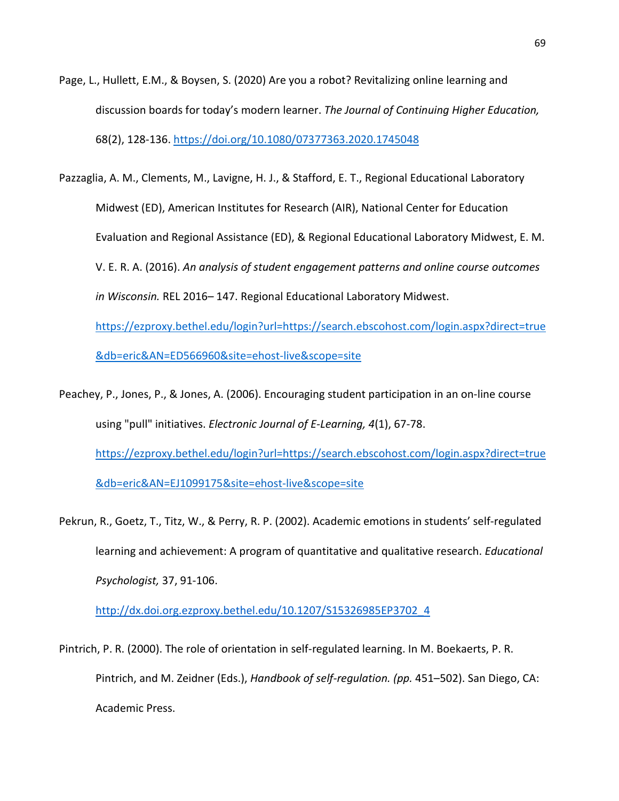- Page, L., Hullett, E.M., & Boysen, S. (2020) Are you a robot? Revitalizing online learning and discussion boards for today's modern learner. *The Journal of Continuing Higher Education,*  68(2), 128-136[. https://doi.org/10.1080/07377363.2020.1745048](https://doi.org/10.1080/07377363.2020.1745048)
- Pazzaglia, A. M., Clements, M., Lavigne, H. J., & Stafford, E. T., Regional Educational Laboratory Midwest (ED), American Institutes for Research (AIR), National Center for Education Evaluation and Regional Assistance (ED), & Regional Educational Laboratory Midwest, E. M. V. E. R. A. (2016). *An analysis of student engagement patterns and online course outcomes in Wisconsin.* REL 2016– 147. Regional Educational Laboratory Midwest.

[https://ezproxy.bethel.edu/login?url=https://search.ebscohost.com/login.aspx?direct=true](https://ezproxy.bethel.edu/login?url=https://search.ebscohost.com/login.aspx?direct=true&db=eric&AN=ED566960&site=ehost-live&scope=site) [&db=eric&AN=ED566960&site=ehost-live&scope=site](https://ezproxy.bethel.edu/login?url=https://search.ebscohost.com/login.aspx?direct=true&db=eric&AN=ED566960&site=ehost-live&scope=site) 

- Peachey, P., Jones, P., & Jones, A. (2006). Encouraging student participation in an on-line course using "pull" initiatives. *Electronic Journal of E-Learning, 4*(1), 67-78. [https://ezproxy.bethel.edu/login?url=https://search.ebscohost.com/login.aspx?direct=true](https://ezproxy.bethel.edu/login?url=https://search.ebscohost.com/login.aspx?direct=true&db=eric&AN=EJ1099175&site=ehost-live&scope=site) [&db=eric&AN=EJ1099175&site=ehost-live&scope=site](https://ezproxy.bethel.edu/login?url=https://search.ebscohost.com/login.aspx?direct=true&db=eric&AN=EJ1099175&site=ehost-live&scope=site)
- Pekrun, R., Goetz, T., Titz, W., & Perry, R. P. (2002). Academic emotions in students' self-regulated learning and achievement: A program of quantitative and qualitative research. *Educational Psychologist,* 37, 91-106.

[http://dx.doi.org.ezproxy.bethel.edu/10.1207/S15326985EP3702\\_4](http://dx.doi.org.ezproxy.bethel.edu/10.1207/S15326985EP3702_4)

Pintrich, P. R. (2000). The role of orientation in self-regulated learning. In M. Boekaerts, P. R. Pintrich, and M. Zeidner (Eds.), *Handbook of self-regulation. (pp.* 451–502). San Diego, CA: Academic Press.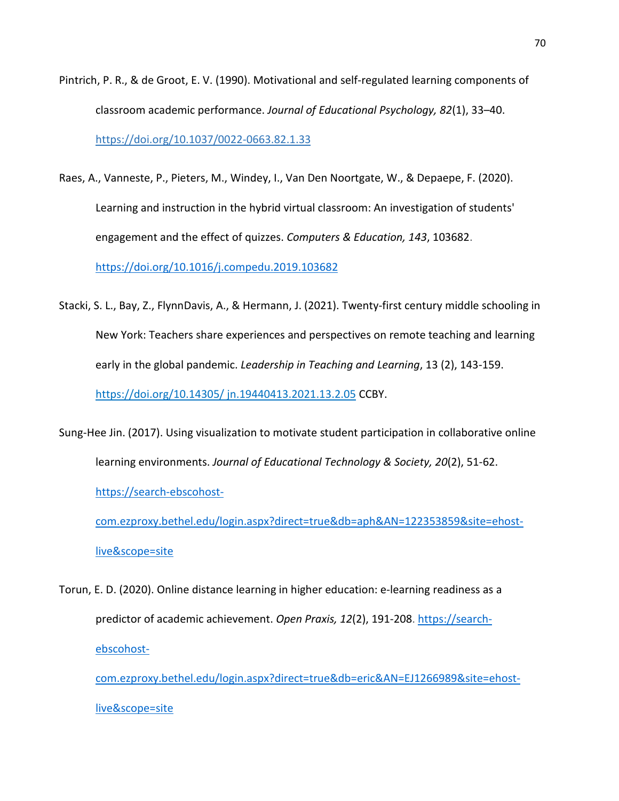- Pintrich, P. R., & de Groot, E. V. (1990). Motivational and self-regulated learning components of classroom academic performance. *Journal of Educational Psychology, 82*(1), 33–40. [https://doi.org/10.1037/0022-0663.82.1.33](https://psycnet.apa.org/doi/10.1037/0022-0663.82.1.33)
- Raes, A., Vanneste, P., Pieters, M., Windey, I., Van Den Noortgate, W., & Depaepe, F. (2020). Learning and instruction in the hybrid virtual classroom: An investigation of students' engagement and the effect of quizzes. *Computers & Education, 143*, 103682[.](https://doi-org.ezproxy.bethel.edu/10.1016/j.compedu.2019.103682) [https://doi.org/10.1016/j.compedu.2019.103682](https://doi-org.ezproxy.bethel.edu/10.1016/j.compedu.2019.103682)
- Stacki, S. L., Bay, Z., FlynnDavis, A., & Hermann, J. (2021). Twenty-first century middle schooling in New York: Teachers share experiences and perspectives on remote teaching and learning early in the global pandemic. *Leadership in Teaching and Learning*, 13 (2), 143-159. https://doi.org/10.14305/ jn.19440413.2021.13.2.05 CCBY.
- Sung-Hee Jin. (2017). Using visualization to motivate student participation in collaborative online learning environments. *Journal of Educational Technology & Society, 20*(2), 51-62. https://search-ebscohost-

com.ezproxy.bethel.edu/login.aspx?direct=true&db=aph&AN=122353859&site=ehostlive&scope=site

Torun, E. D. (2020). Online distance learning in higher education: e-learning readiness as a predictor of academic achievement. *Open Praxis, 12*(2), 191-208. https://searchebscohost-

com.ezproxy.bethel.edu/login.aspx?direct=true&db=eric&AN=EJ1266989&site=ehostlive&scope=site